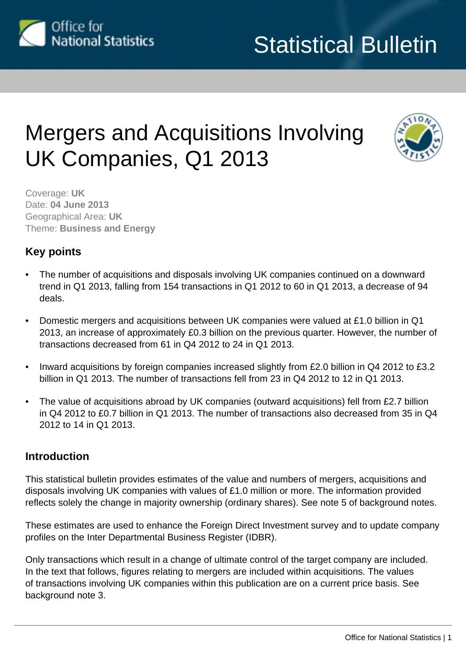

# Mergers and Acquisitions Involving UK Companies, Q1 2013



Coverage: **UK** Date: **04 June 2013** Geographical Area: **UK** Theme: **Business and Energy**

## **Key points**

- The number of acquisitions and disposals involving UK companies continued on a downward trend in Q1 2013, falling from 154 transactions in Q1 2012 to 60 in Q1 2013, a decrease of 94 deals.
- Domestic mergers and acquisitions between UK companies were valued at £1.0 billion in Q1 2013, an increase of approximately £0.3 billion on the previous quarter. However, the number of transactions decreased from 61 in Q4 2012 to 24 in Q1 2013.
- Inward acquisitions by foreign companies increased slightly from £2.0 billion in Q4 2012 to £3.2 billion in Q1 2013. The number of transactions fell from 23 in Q4 2012 to 12 in Q1 2013.
- The value of acquisitions abroad by UK companies (outward acquisitions) fell from £2.7 billion in Q4 2012 to £0.7 billion in Q1 2013. The number of transactions also decreased from 35 in Q4 2012 to 14 in Q1 2013.

## **Introduction**

This statistical bulletin provides estimates of the value and numbers of mergers, acquisitions and disposals involving UK companies with values of £1.0 million or more. The information provided reflects solely the change in majority ownership (ordinary shares). See note 5 of background notes.

These estimates are used to enhance the Foreign Direct Investment survey and to update company profiles on the Inter Departmental Business Register (IDBR).

Only transactions which result in a change of ultimate control of the target company are included. In the text that follows, figures relating to mergers are included within acquisitions. The values of transactions involving UK companies within this publication are on a current price basis. See background note 3.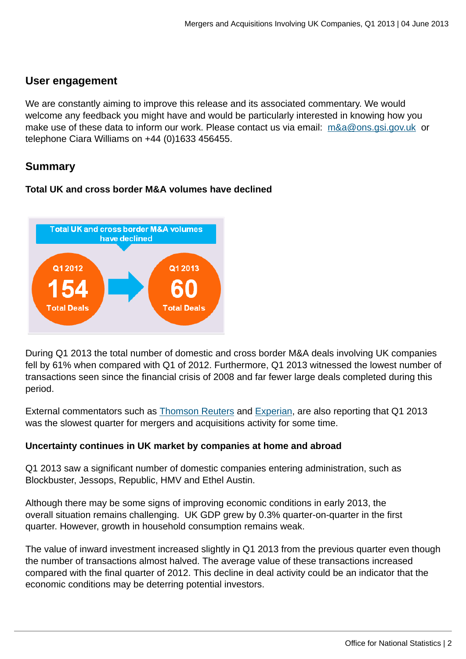## **User engagement**

We are constantly aiming to improve this release and its associated commentary. We would welcome any feedback you might have and would be particularly interested in knowing how you make use of these data to inform our work. Please contact us via email: [m&a@ons.gsi.gov.uk](mailto:m&a@ons.gsi.gov.uk) or telephone Ciara Williams on +44 (0)1633 456455.

## **Summary**

## **Total UK and cross border M&A volumes have declined**



During Q1 2013 the total number of domestic and cross border M&A deals involving UK companies fell by 61% when compared with Q1 of 2012. Furthermore, Q1 2013 witnessed the lowest number of transactions seen since the financial crisis of 2008 and far fewer large deals completed during this period.

External commentators such as [Thomson Reuters](http://hereisthecity.com/2013/04/03/thomson-reuters-mergers-acquisitions-review-first-quarter-2/) and [Experian](http://www.experian.co.uk/assets/consumer-information), are also reporting that Q1 2013 was the slowest quarter for mergers and acquisitions activity for some time.

## **Uncertainty continues in UK market by companies at home and abroad**

Q1 2013 saw a significant number of domestic companies entering administration, such as Blockbuster, Jessops, Republic, HMV and Ethel Austin.

Although there may be some signs of improving economic conditions in early 2013, the overall situation remains challenging. UK GDP grew by 0.3% quarter-on-quarter in the first quarter. However, growth in household consumption remains weak.

The value of inward investment increased slightly in Q1 2013 from the previous quarter even though the number of transactions almost halved. The average value of these transactions increased compared with the final quarter of 2012. This decline in deal activity could be an indicator that the economic conditions may be deterring potential investors.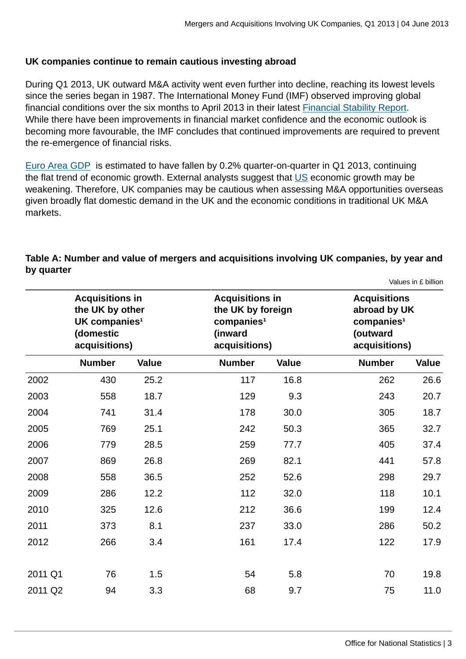## **UK companies continue to remain cautious investing abroad**

During Q1 2013, UK outward M&A activity went even further into decline, reaching its lowest levels since the series began in 1987. The International Money Fund (IMF) observed improving global financial conditions over the six months to April 2013 in their latest [Financial Stability Report.](http://www.imf.org/External/Pubs/FT/GFSR/2013/01/pdf/text.pdf) While there have been improvements in financial market confidence and the economic outlook is becoming more favourable, the IMF concludes that continued improvements are required to prevent the re-emergence of financial risks.

[Euro Area GDP](http://epp.eurostat.ec.europa.eu/cache/ITY_PUBLIC/2-15052013-AP/EN/2-15052013-AP-EN.PDF) is estimated to have fallen by 0.2% quarter-on-quarter in Q1 2013, continuing the flat trend of economic growth. External analysts suggest that [US](http://www.bbc.co.uk/news/business-22307765) economic growth may be weakening. Therefore, UK companies may be cautious when assessing M&A opportunities overseas given broadly flat domestic demand in the UK and the economic conditions in traditional UK M&A markets.

|         | <b>Acquisitions in</b><br>the UK by other<br>UK companies <sup>1</sup><br>(domestic<br>acquisitions) |              | <b>Acquisitions in</b><br>the UK by foreign<br>comparies <sup>1</sup><br>(inward<br>acquisitions) |              | (outward      | <b>Acquisitions</b><br>abroad by UK<br>comparies <sup>1</sup><br>acquisitions) |  |  |
|---------|------------------------------------------------------------------------------------------------------|--------------|---------------------------------------------------------------------------------------------------|--------------|---------------|--------------------------------------------------------------------------------|--|--|
|         | <b>Number</b>                                                                                        | <b>Value</b> | <b>Number</b>                                                                                     | <b>Value</b> | <b>Number</b> | <b>Value</b>                                                                   |  |  |
| 2002    | 430                                                                                                  | 25.2         | 117                                                                                               | 16.8         | 262           | 26.6                                                                           |  |  |
| 2003    | 558                                                                                                  | 18.7         | 129                                                                                               | 9.3          | 243           | 20.7                                                                           |  |  |
| 2004    | 741                                                                                                  | 31.4         | 178                                                                                               | 30.0         | 305           | 18.7                                                                           |  |  |
| 2005    | 769                                                                                                  | 25.1         | 242                                                                                               | 50.3         | 365           | 32.7                                                                           |  |  |
| 2006    | 779                                                                                                  | 28.5         | 259                                                                                               | 77.7         | 405           | 37.4                                                                           |  |  |
| 2007    | 869                                                                                                  | 26.8         | 269                                                                                               | 82.1         | 441           | 57.8                                                                           |  |  |
| 2008    | 558                                                                                                  | 36.5         | 252                                                                                               | 52.6         | 298           | 29.7                                                                           |  |  |
| 2009    | 286                                                                                                  | 12.2         | 112                                                                                               | 32.0         | 118           | 10.1                                                                           |  |  |
| 2010    | 325                                                                                                  | 12.6         | 212                                                                                               | 36.6         | 199           | 12.4                                                                           |  |  |
| 2011    | 373                                                                                                  | 8.1          | 237                                                                                               | 33.0         | 286           | 50.2                                                                           |  |  |
| 2012    | 266                                                                                                  | 3.4          | 161                                                                                               | 17.4         | 122           | 17.9                                                                           |  |  |
|         |                                                                                                      |              |                                                                                                   |              |               |                                                                                |  |  |
| 2011 Q1 | 76                                                                                                   | 1.5          | 54                                                                                                | 5.8          | 70            | 19.8                                                                           |  |  |
| 2011 Q2 | 94                                                                                                   | 3.3          | 68                                                                                                | 9.7          | 75            | 11.0                                                                           |  |  |

## **Table A: Number and value of mergers and acquisitions involving UK companies, by year and by quarter**

Values in £ billion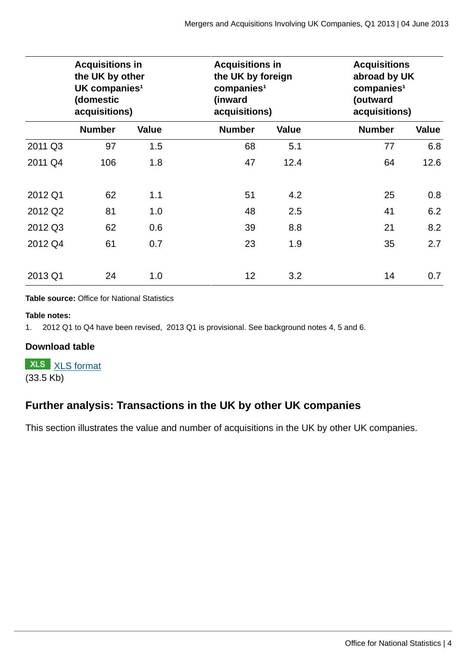|         | <b>Acquisitions in</b><br>the UK by other<br>UK companies <sup>1</sup><br>(domestic<br>acquisitions) |              | <b>Acquisitions in</b><br>the UK by foreign<br>comparies <sup>1</sup><br>(inward<br>acquisitions) |              | (outward      | <b>Acquisitions</b><br>abroad by UK<br>companies <sup>1</sup><br>acquisitions) |  |  |
|---------|------------------------------------------------------------------------------------------------------|--------------|---------------------------------------------------------------------------------------------------|--------------|---------------|--------------------------------------------------------------------------------|--|--|
|         | <b>Number</b>                                                                                        | <b>Value</b> | <b>Number</b>                                                                                     | <b>Value</b> | <b>Number</b> | <b>Value</b>                                                                   |  |  |
| 2011 Q3 | 97                                                                                                   | 1.5          | 68                                                                                                | 5.1          | 77            | 6.8                                                                            |  |  |
| 2011 Q4 | 106                                                                                                  | 1.8          | 47                                                                                                | 12.4         | 64            | 12.6                                                                           |  |  |
| 2012 Q1 | 62                                                                                                   | 1.1          | 51                                                                                                | 4.2          | 25            | 0.8                                                                            |  |  |
| 2012 Q2 | 81                                                                                                   | 1.0          | 48                                                                                                | 2.5          | 41            | 6.2                                                                            |  |  |
| 2012 Q3 | 62                                                                                                   | 0.6          | 39                                                                                                | 8.8          | 21            | 8.2                                                                            |  |  |
| 2012 Q4 | 61                                                                                                   | 0.7          | 23                                                                                                | 1.9          | 35            | 2.7                                                                            |  |  |
| 2013 Q1 | 24                                                                                                   | 1.0          | 12                                                                                                | 3.2          | 14            | 0.7                                                                            |  |  |

**Table source:** Office for National Statistics

### **Table notes:**

1. 2012 Q1 to Q4 have been revised, 2013 Q1 is provisional. See background notes 4, 5 and 6.

## **Download table**

**XLS** [XLS format](http://www.ons.gov.uk:80/ons/rel/international-transactions/mergers-and-acquisitions-involving-uk-companies/q1-2013/prt-m-a-table-a.xls) (33.5 Kb)

## **Further analysis: Transactions in the UK by other UK companies**

This section illustrates the value and number of acquisitions in the UK by other UK companies.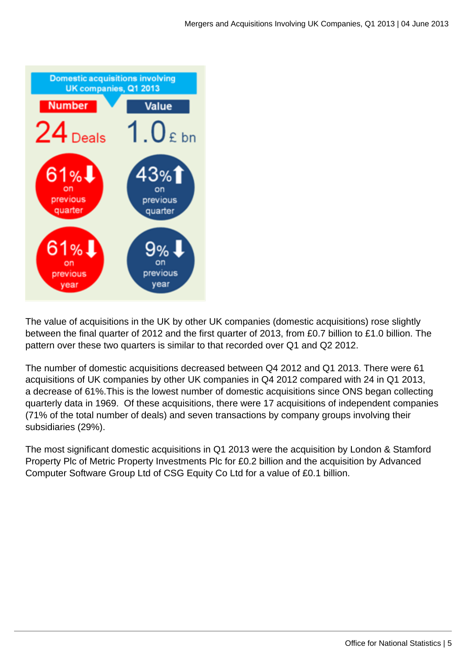

The value of acquisitions in the UK by other UK companies (domestic acquisitions) rose slightly between the final quarter of 2012 and the first quarter of 2013, from £0.7 billion to £1.0 billion. The pattern over these two quarters is similar to that recorded over Q1 and Q2 2012.

The number of domestic acquisitions decreased between Q4 2012 and Q1 2013. There were 61 acquisitions of UK companies by other UK companies in Q4 2012 compared with 24 in Q1 2013, a decrease of 61%.This is the lowest number of domestic acquisitions since ONS began collecting quarterly data in 1969. Of these acquisitions, there were 17 acquisitions of independent companies (71% of the total number of deals) and seven transactions by company groups involving their subsidiaries (29%).

The most significant domestic acquisitions in Q1 2013 were the acquisition by London & Stamford Property Plc of Metric Property Investments Plc for £0.2 billion and the acquisition by Advanced Computer Software Group Ltd of CSG Equity Co Ltd for a value of £0.1 billion.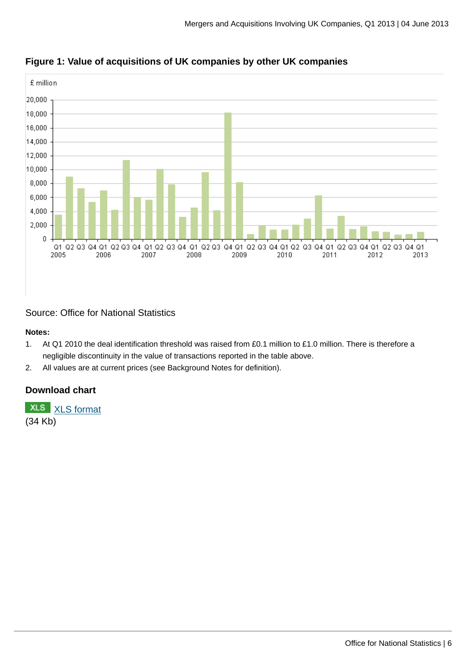

**Figure 1: Value of acquisitions of UK companies by other UK companies**

Source: Office for National Statistics

### **Notes:**

- 1. At Q1 2010 the deal identification threshold was raised from £0.1 million to £1.0 million. There is therefore a negligible discontinuity in the value of transactions reported in the table above.
- 2. All values are at current prices (see Background Notes for definition).

## **Download chart**

**XLS** [XLS format](http://www.ons.gov.uk:80/ons/rel/international-transactions/mergers-and-acquisitions-involving-uk-companies/q1-2013/chd-m-a-fig-1.xls) (34 Kb)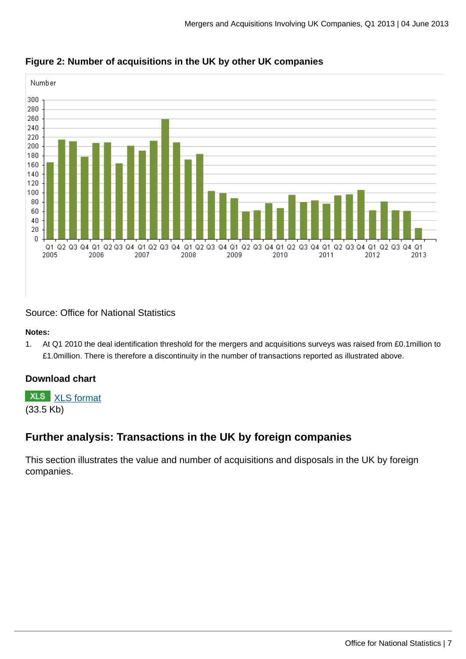

**Figure 2: Number of acquisitions in the UK by other UK companies**

Source: Office for National Statistics

### **Notes:**

1. At Q1 2010 the deal identification threshold for the mergers and acquisitions surveys was raised from £0.1million to £1.0million. There is therefore a discontinuity in the number of transactions reported as illustrated above.

## **Download chart**

**XLS** [XLS format](http://www.ons.gov.uk:80/ons/rel/international-transactions/mergers-and-acquisitions-involving-uk-companies/q1-2013/chd-m-a-fig-2.xls)

(33.5 Kb)

## **Further analysis: Transactions in the UK by foreign companies**

This section illustrates the value and number of acquisitions and disposals in the UK by foreign companies.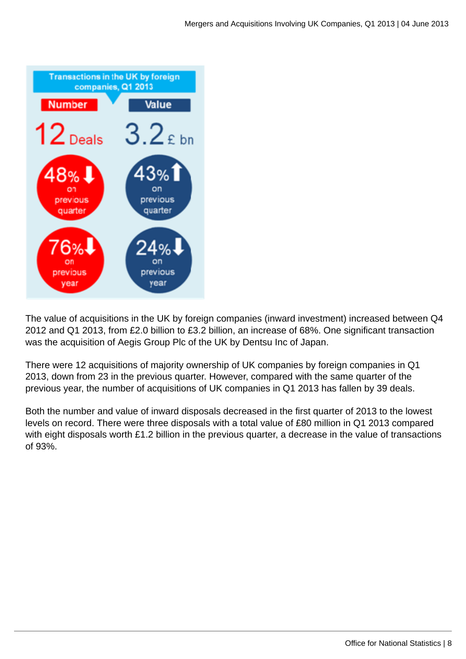

The value of acquisitions in the UK by foreign companies (inward investment) increased between Q4 2012 and Q1 2013, from £2.0 billion to £3.2 billion, an increase of 68%. One significant transaction was the acquisition of Aegis Group Plc of the UK by Dentsu Inc of Japan.

There were 12 acquisitions of majority ownership of UK companies by foreign companies in Q1 2013, down from 23 in the previous quarter. However, compared with the same quarter of the previous year, the number of acquisitions of UK companies in Q1 2013 has fallen by 39 deals.

Both the number and value of inward disposals decreased in the first quarter of 2013 to the lowest levels on record. There were three disposals with a total value of £80 million in Q1 2013 compared with eight disposals worth £1.2 billion in the previous quarter, a decrease in the value of transactions of 93%.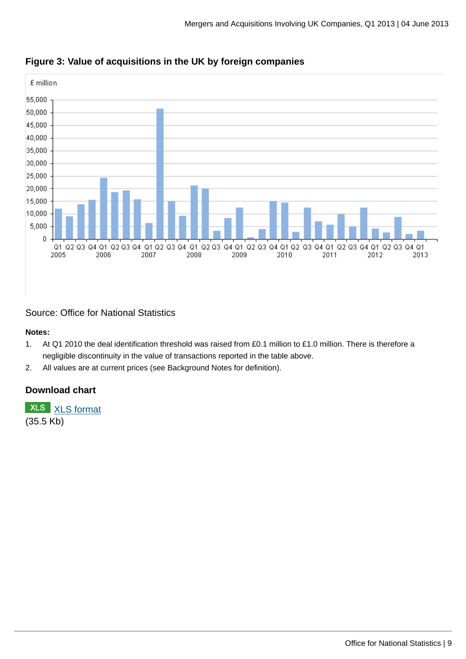



Source: Office for National Statistics

### **Notes:**

- 1. At Q1 2010 the deal identification threshold was raised from £0.1 million to £1.0 million. There is therefore a negligible discontinuity in the value of transactions reported in the table above.
- 2. All values are at current prices (see Background Notes for definition).

## **Download chart**

**XLS** [XLS format](http://www.ons.gov.uk:80/ons/rel/international-transactions/mergers-and-acquisitions-involving-uk-companies/q1-2013/chd-m-a-fig-3.xls) (35.5 Kb)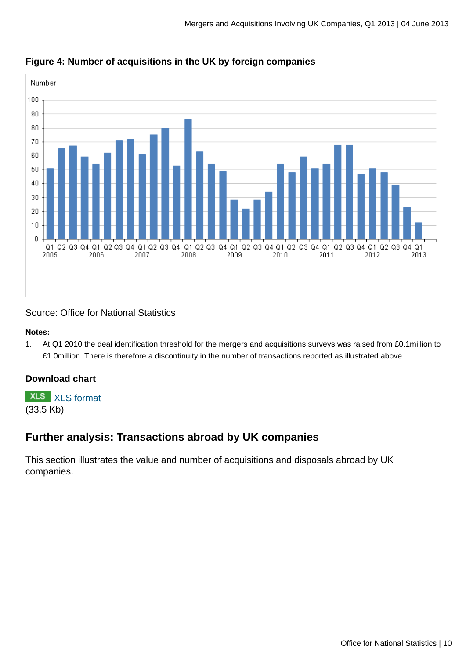

## **Figure 4: Number of acquisitions in the UK by foreign companies**

Source: Office for National Statistics

### **Notes:**

1. At Q1 2010 the deal identification threshold for the mergers and acquisitions surveys was raised from £0.1million to £1.0million. There is therefore a discontinuity in the number of transactions reported as illustrated above.

## **Download chart**

**XLS** [XLS format](http://www.ons.gov.uk:80/ons/rel/international-transactions/mergers-and-acquisitions-involving-uk-companies/q1-2013/chd-m-a-fig-4.xls)

(33.5 Kb)

## **Further analysis: Transactions abroad by UK companies**

This section illustrates the value and number of acquisitions and disposals abroad by UK companies.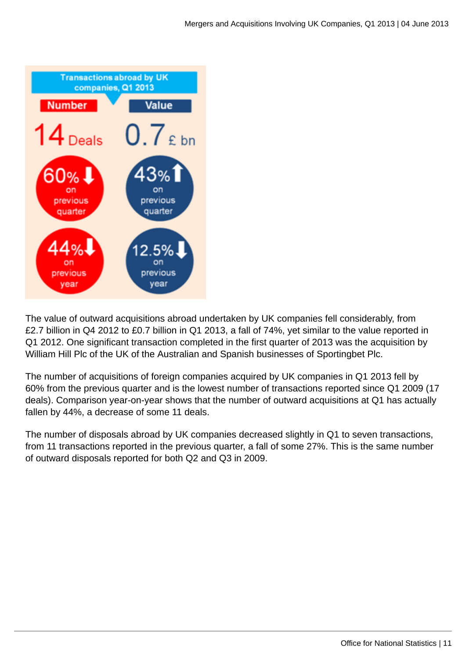

The value of outward acquisitions abroad undertaken by UK companies fell considerably, from £2.7 billion in Q4 2012 to £0.7 billion in Q1 2013, a fall of 74%, yet similar to the value reported in Q1 2012. One significant transaction completed in the first quarter of 2013 was the acquisition by William Hill Plc of the UK of the Australian and Spanish businesses of Sportingbet Plc.

The number of acquisitions of foreign companies acquired by UK companies in Q1 2013 fell by 60% from the previous quarter and is the lowest number of transactions reported since Q1 2009 (17 deals). Comparison year-on-year shows that the number of outward acquisitions at Q1 has actually fallen by 44%, a decrease of some 11 deals.

The number of disposals abroad by UK companies decreased slightly in Q1 to seven transactions, from 11 transactions reported in the previous quarter, a fall of some 27%. This is the same number of outward disposals reported for both Q2 and Q3 in 2009.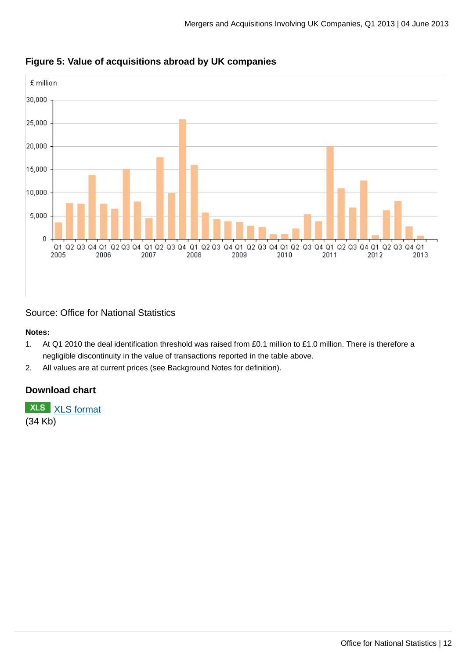

## **Figure 5: Value of acquisitions abroad by UK companies**

Source: Office for National Statistics

### **Notes:**

- 1. At Q1 2010 the deal identification threshold was raised from £0.1 million to £1.0 million. There is therefore a negligible discontinuity in the value of transactions reported in the table above.
- 2. All values are at current prices (see Background Notes for definition).

## **Download chart**

**XLS** [XLS format](http://www.ons.gov.uk:80/ons/rel/international-transactions/mergers-and-acquisitions-involving-uk-companies/q1-2013/chd-m-a-fig-5.xls) (34 Kb)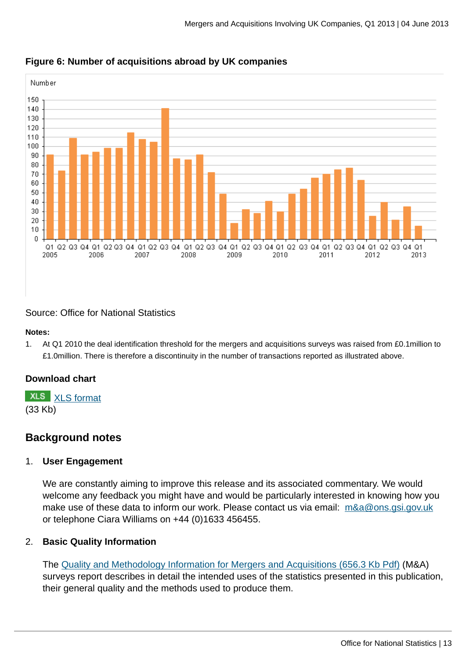

## **Figure 6: Number of acquisitions abroad by UK companies**

Source: Office for National Statistics

### **Notes:**

1. At Q1 2010 the deal identification threshold for the mergers and acquisitions surveys was raised from £0.1million to £1.0million. There is therefore a discontinuity in the number of transactions reported as illustrated above.

## **Download chart**

**XLS** [XLS format](http://www.ons.gov.uk:80/ons/rel/international-transactions/mergers-and-acquisitions-involving-uk-companies/q1-2013/chd-m-a-fig-6.xls) (33 Kb)

## **Background notes**

## 1. **User Engagement**

We are constantly aiming to improve this release and its associated commentary. We would welcome any feedback you might have and would be particularly interested in knowing how you make use of these data to inform our work. Please contact us via email: m&a@ons.gsi.gov.uk or telephone Ciara Williams on +44 (0)1633 456455.

## 2. **Basic Quality Information**

The [Quality and Methodology Information for Mergers and Acquisitions \(656.3 Kb Pdf\)](http://www.ons.gov.uk:80/ons/guide-method/method-quality/quality/quality-information/business-and-energy/mergers-and-acquisitions.pdf) (M&A) surveys report describes in detail the intended uses of the statistics presented in this publication, their general quality and the methods used to produce them.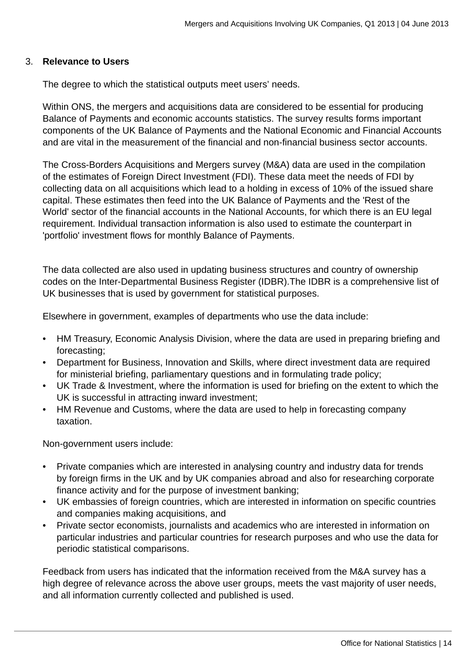## 3. **Relevance to Users**

The degree to which the statistical outputs meet users' needs.

Within ONS, the mergers and acquisitions data are considered to be essential for producing Balance of Payments and economic accounts statistics. The survey results forms important components of the UK Balance of Payments and the National Economic and Financial Accounts and are vital in the measurement of the financial and non-financial business sector accounts.

The Cross-Borders Acquisitions and Mergers survey (M&A) data are used in the compilation of the estimates of Foreign Direct Investment (FDI). These data meet the needs of FDI by collecting data on all acquisitions which lead to a holding in excess of 10% of the issued share capital. These estimates then feed into the UK Balance of Payments and the 'Rest of the World' sector of the financial accounts in the National Accounts, for which there is an EU legal requirement. Individual transaction information is also used to estimate the counterpart in 'portfolio' investment flows for monthly Balance of Payments.

The data collected are also used in updating business structures and country of ownership codes on the Inter-Departmental Business Register (IDBR).The IDBR is a comprehensive list of UK businesses that is used by government for statistical purposes.

Elsewhere in government, examples of departments who use the data include:

- HM Treasury, Economic Analysis Division, where the data are used in preparing briefing and forecasting;
- Department for Business, Innovation and Skills, where direct investment data are required for ministerial briefing, parliamentary questions and in formulating trade policy;
- UK Trade & Investment, where the information is used for briefing on the extent to which the UK is successful in attracting inward investment;
- HM Revenue and Customs, where the data are used to help in forecasting company taxation.

Non-government users include:

- Private companies which are interested in analysing country and industry data for trends by foreign firms in the UK and by UK companies abroad and also for researching corporate finance activity and for the purpose of investment banking;
- UK embassies of foreign countries, which are interested in information on specific countries and companies making acquisitions, and
- Private sector economists, journalists and academics who are interested in information on particular industries and particular countries for research purposes and who use the data for periodic statistical comparisons.

Feedback from users has indicated that the information received from the M&A survey has a high degree of relevance across the above user groups, meets the vast majority of user needs, and all information currently collected and published is used.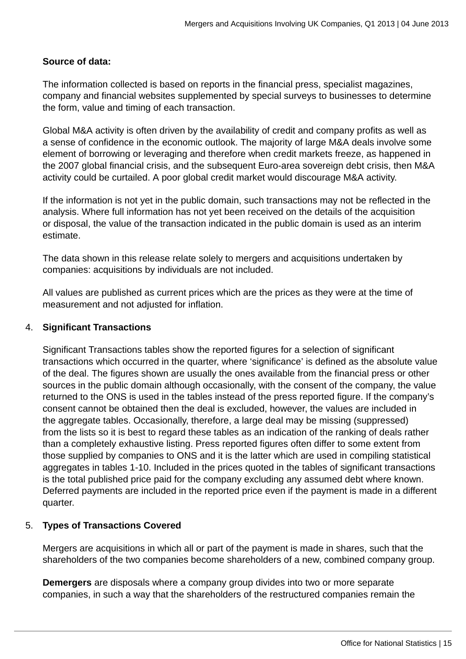## **Source of data:**

The information collected is based on reports in the financial press, specialist magazines, company and financial websites supplemented by special surveys to businesses to determine the form, value and timing of each transaction.

Global M&A activity is often driven by the availability of credit and company profits as well as a sense of confidence in the economic outlook. The majority of large M&A deals involve some element of borrowing or leveraging and therefore when credit markets freeze, as happened in the 2007 global financial crisis, and the subsequent Euro-area sovereign debt crisis, then M&A activity could be curtailed. A poor global credit market would discourage M&A activity.

If the information is not yet in the public domain, such transactions may not be reflected in the analysis. Where full information has not yet been received on the details of the acquisition or disposal, the value of the transaction indicated in the public domain is used as an interim estimate.

The data shown in this release relate solely to mergers and acquisitions undertaken by companies: acquisitions by individuals are not included.

All values are published as current prices which are the prices as they were at the time of measurement and not adjusted for inflation.

## 4. **Significant Transactions**

Significant Transactions tables show the reported figures for a selection of significant transactions which occurred in the quarter, where 'significance' is defined as the absolute value of the deal. The figures shown are usually the ones available from the financial press or other sources in the public domain although occasionally, with the consent of the company, the value returned to the ONS is used in the tables instead of the press reported figure. If the company's consent cannot be obtained then the deal is excluded, however, the values are included in the aggregate tables. Occasionally, therefore, a large deal may be missing (suppressed) from the lists so it is best to regard these tables as an indication of the ranking of deals rather than a completely exhaustive listing. Press reported figures often differ to some extent from those supplied by companies to ONS and it is the latter which are used in compiling statistical aggregates in tables 1-10. Included in the prices quoted in the tables of significant transactions is the total published price paid for the company excluding any assumed debt where known. Deferred payments are included in the reported price even if the payment is made in a different quarter.

## 5. **Types of Transactions Covered**

Mergers are acquisitions in which all or part of the payment is made in shares, such that the shareholders of the two companies become shareholders of a new, combined company group.

**Demergers** are disposals where a company group divides into two or more separate companies, in such a way that the shareholders of the restructured companies remain the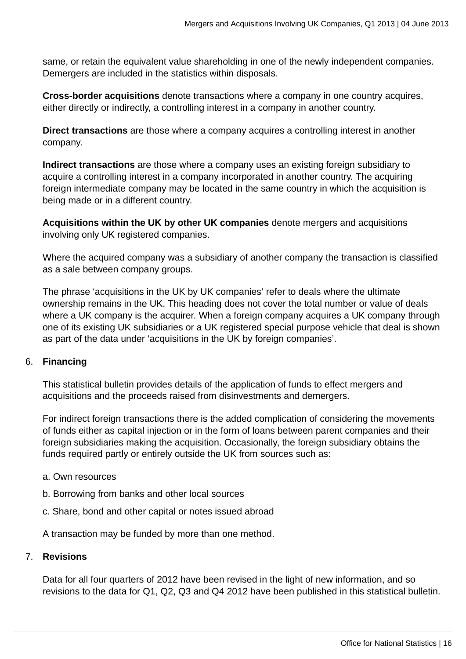same, or retain the equivalent value shareholding in one of the newly independent companies. Demergers are included in the statistics within disposals.

**Cross-border acquisitions** denote transactions where a company in one country acquires, either directly or indirectly, a controlling interest in a company in another country.

**Direct transactions** are those where a company acquires a controlling interest in another company.

**Indirect transactions** are those where a company uses an existing foreign subsidiary to acquire a controlling interest in a company incorporated in another country. The acquiring foreign intermediate company may be located in the same country in which the acquisition is being made or in a different country.

**Acquisitions within the UK by other UK companies** denote mergers and acquisitions involving only UK registered companies.

Where the acquired company was a subsidiary of another company the transaction is classified as a sale between company groups.

The phrase 'acquisitions in the UK by UK companies' refer to deals where the ultimate ownership remains in the UK. This heading does not cover the total number or value of deals where a UK company is the acquirer. When a foreign company acquires a UK company through one of its existing UK subsidiaries or a UK registered special purpose vehicle that deal is shown as part of the data under 'acquisitions in the UK by foreign companies'.

## 6. **Financing**

This statistical bulletin provides details of the application of funds to effect mergers and acquisitions and the proceeds raised from disinvestments and demergers.

For indirect foreign transactions there is the added complication of considering the movements of funds either as capital injection or in the form of loans between parent companies and their foreign subsidiaries making the acquisition. Occasionally, the foreign subsidiary obtains the funds required partly or entirely outside the UK from sources such as:

## a. Own resources

- b. Borrowing from banks and other local sources
- c. Share, bond and other capital or notes issued abroad

A transaction may be funded by more than one method.

## 7. **Revisions**

Data for all four quarters of 2012 have been revised in the light of new information, and so revisions to the data for Q1, Q2, Q3 and Q4 2012 have been published in this statistical bulletin.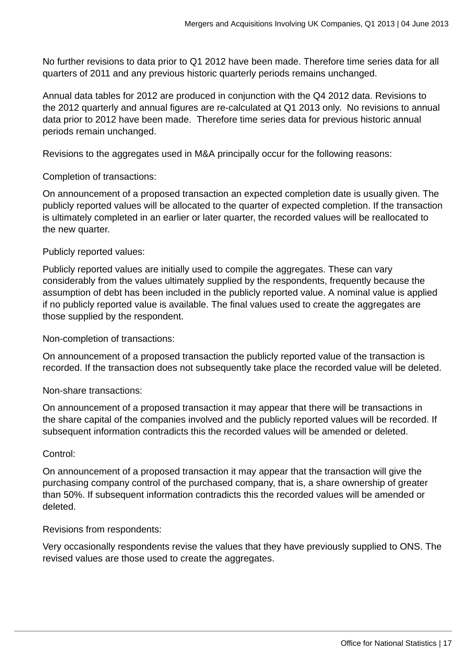No further revisions to data prior to Q1 2012 have been made. Therefore time series data for all quarters of 2011 and any previous historic quarterly periods remains unchanged.

Annual data tables for 2012 are produced in conjunction with the Q4 2012 data. Revisions to the 2012 quarterly and annual figures are re-calculated at Q1 2013 only. No revisions to annual data prior to 2012 have been made. Therefore time series data for previous historic annual periods remain unchanged.

Revisions to the aggregates used in M&A principally occur for the following reasons:

Completion of transactions:

On announcement of a proposed transaction an expected completion date is usually given. The publicly reported values will be allocated to the quarter of expected completion. If the transaction is ultimately completed in an earlier or later quarter, the recorded values will be reallocated to the new quarter.

## Publicly reported values:

Publicly reported values are initially used to compile the aggregates. These can vary considerably from the values ultimately supplied by the respondents, frequently because the assumption of debt has been included in the publicly reported value. A nominal value is applied if no publicly reported value is available. The final values used to create the aggregates are those supplied by the respondent.

Non-completion of transactions:

On announcement of a proposed transaction the publicly reported value of the transaction is recorded. If the transaction does not subsequently take place the recorded value will be deleted.

Non-share transactions:

On announcement of a proposed transaction it may appear that there will be transactions in the share capital of the companies involved and the publicly reported values will be recorded. If subsequent information contradicts this the recorded values will be amended or deleted.

## Control:

On announcement of a proposed transaction it may appear that the transaction will give the purchasing company control of the purchased company, that is, a share ownership of greater than 50%. If subsequent information contradicts this the recorded values will be amended or deleted.

Revisions from respondents:

Very occasionally respondents revise the values that they have previously supplied to ONS. The revised values are those used to create the aggregates.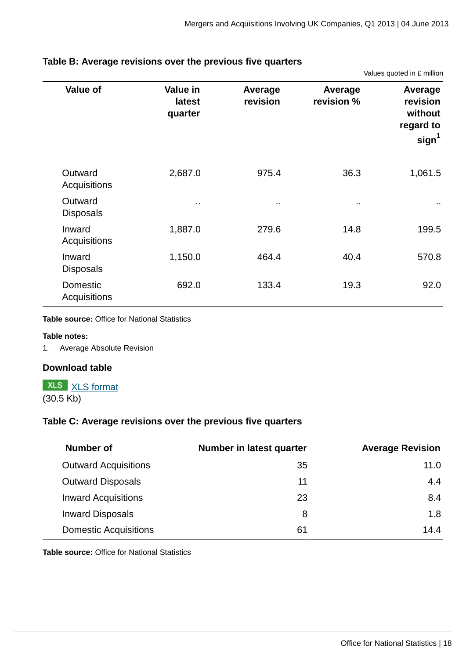Values quoted in £ million

| <b>Value of</b>             | Value in<br>Average<br>revision<br>latest<br>quarter |        | Average<br>revision % | Average<br>revision<br>without<br>regard to<br>sign <sup>1</sup> |
|-----------------------------|------------------------------------------------------|--------|-----------------------|------------------------------------------------------------------|
| Outward<br>Acquisitions     | 2,687.0                                              | 975.4  | 36.3                  | 1,061.5                                                          |
| Outward<br><b>Disposals</b> | $\cdot$ .                                            | $\sim$ | $\sim$                | $\sim$                                                           |
| Inward<br>Acquisitions      | 1,887.0                                              | 279.6  | 14.8                  | 199.5                                                            |
| Inward<br><b>Disposals</b>  | 1,150.0                                              | 464.4  | 40.4                  | 570.8                                                            |
| Domestic<br>Acquisitions    | 692.0                                                | 133.4  | 19.3                  | 92.0                                                             |

## **Table B: Average revisions over the previous five quarters**

### **Table source:** Office for National Statistics

### **Table notes:**

1. Average Absolute Revision

### **Download table**

## **XLS** [XLS format](http://www.ons.gov.uk:80/ons/rel/international-transactions/mergers-and-acquisitions-involving-uk-companies/q1-2013/prt-m-a-revisions.xls)

(30.5 Kb)

## **Table C: Average revisions over the previous five quarters**

| Number of                    | Number in latest quarter | <b>Average Revision</b> |
|------------------------------|--------------------------|-------------------------|
| <b>Outward Acquisitions</b>  | 35                       | 11.0                    |
| <b>Outward Disposals</b>     | 11                       | 4.4                     |
| <b>Inward Acquisitions</b>   | 23                       | 8.4                     |
| <b>Inward Disposals</b>      | 8                        | 1.8                     |
| <b>Domestic Acquisitions</b> | 61                       | 14.4                    |

**Table source:** Office for National Statistics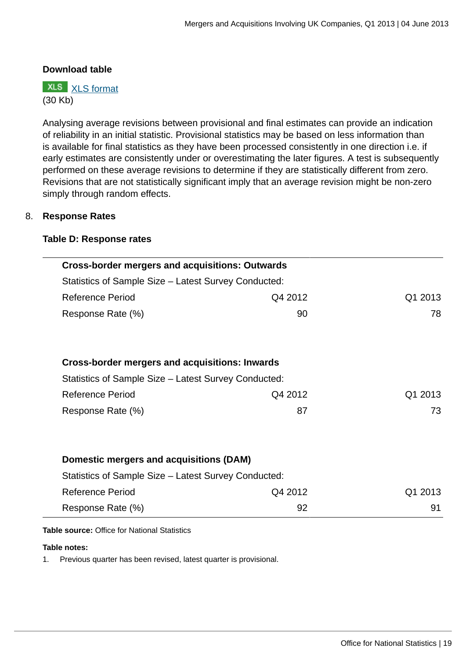## **Download table**

**XLS** [XLS format](http://www.ons.gov.uk:80/ons/rel/international-transactions/mergers-and-acquisitions-involving-uk-companies/q1-2013/prt-m-a-revisions-2.xls) (30 Kb)

Analysing average revisions between provisional and final estimates can provide an indication of reliability in an initial statistic. Provisional statistics may be based on less information than is available for final statistics as they have been processed consistently in one direction i.e. if early estimates are consistently under or overestimating the later figures. A test is subsequently performed on these average revisions to determine if they are statistically different from zero. Revisions that are not statistically significant imply that an average revision might be non-zero simply through random effects.

## 8. **Response Rates**

### **Table D: Response rates**

| <b>Cross-border mergers and acquisitions: Outwards</b> |         |         |
|--------------------------------------------------------|---------|---------|
| Statistics of Sample Size – Latest Survey Conducted:   |         |         |
| <b>Reference Period</b>                                | Q4 2012 | Q1 2013 |
| Response Rate (%)                                      | 90      | 78      |
|                                                        |         |         |
|                                                        |         |         |
| <b>Cross-border mergers and acquisitions: Inwards</b>  |         |         |
| Statistics of Sample Size – Latest Survey Conducted:   |         |         |
| <b>Reference Period</b>                                | Q4 2012 | Q1 2013 |
| Response Rate (%)                                      | 87      | 73      |
|                                                        |         |         |
|                                                        |         |         |
| Domestic mergers and acquisitions (DAM)                |         |         |
| Statistics of Sample Size – Latest Survey Conducted:   |         |         |
| <b>Reference Period</b>                                | Q4 2012 | Q1 2013 |
| Response Rate (%)                                      | 92      | 91      |

**Table source:** Office for National Statistics

### **Table notes:**

1. Previous quarter has been revised, latest quarter is provisional.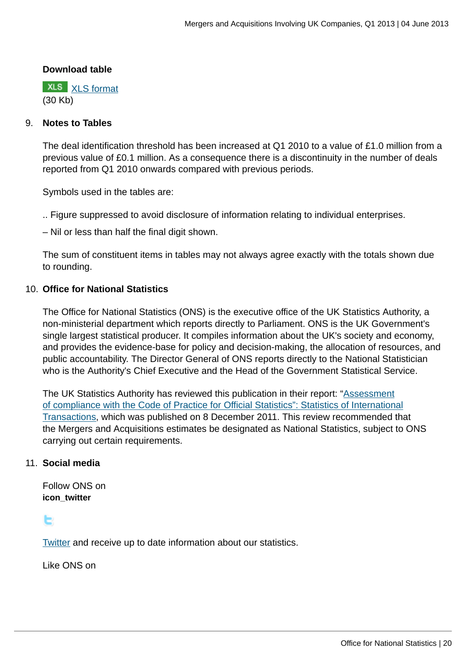## **Download table**

**XLS** [XLS format](http://www.ons.gov.uk:80/ons/rel/international-transactions/mergers-and-acquisitions-involving-uk-companies/q1-2013/prt-m-a-response.xls) (30 Kb)

### 9. **Notes to Tables**

The deal identification threshold has been increased at Q1 2010 to a value of £1.0 million from a previous value of £0.1 million. As a consequence there is a discontinuity in the number of deals reported from Q1 2010 onwards compared with previous periods.

Symbols used in the tables are:

.. Figure suppressed to avoid disclosure of information relating to individual enterprises.

– Nil or less than half the final digit shown.

The sum of constituent items in tables may not always agree exactly with the totals shown due to rounding.

## 10. **Office for National Statistics**

The Office for National Statistics (ONS) is the executive office of the UK Statistics Authority, a non-ministerial department which reports directly to Parliament. ONS is the UK Government's single largest statistical producer. It compiles information about the UK's society and economy, and provides the evidence-base for policy and decision-making, the allocation of resources, and public accountability. The Director General of ONS reports directly to the National Statistician who is the Authority's Chief Executive and the Head of the Government Statistical Service.

The UK Statistics Authority has reviewed this publication in their report: ["Assessment](http://www.statisticsauthority.gov.uk/assessment/assessment/assessment-reports/assessment-report-164---statistics-on-international-transactions.pdf) [of compliance with the Code of Practice for Official Statistics": Statistics of International](http://www.statisticsauthority.gov.uk/assessment/assessment/assessment-reports/assessment-report-164---statistics-on-international-transactions.pdf) [Transactions,](http://www.statisticsauthority.gov.uk/assessment/assessment/assessment-reports/assessment-report-164---statistics-on-international-transactions.pdf) which was published on 8 December 2011. This review recommended that the Mergers and Acquisitions estimates be designated as National Statistics, subject to ONS carrying out certain requirements.

## 11. **Social media**

Follow ONS on **icon\_twitter**

ь

[Twitter](http://www.ons.gov.uk:80/ons/external-links/social-media/ons-twitter.html) and receive up to date information about our statistics.

Like ONS on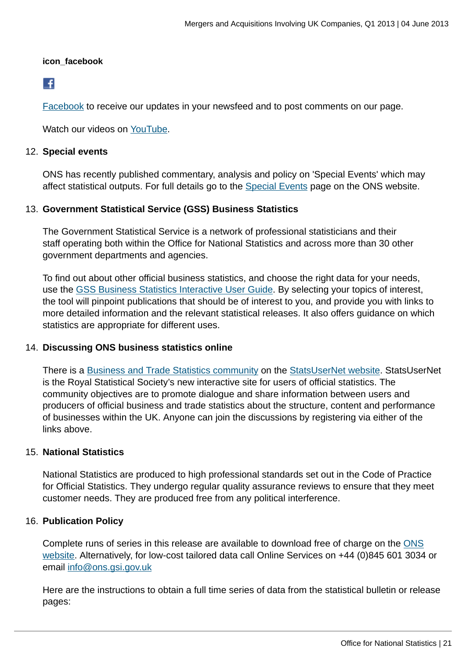### **icon\_facebook**

## $\left| \cdot \right|$

[Facebook](http://www.ons.gov.uk:80/ons/external-links/social-media/index.html) to receive our updates in your newsfeed and to post comments on our page.

Watch our videos on [YouTube.](http://www.ons.gov.uk:80/ons/external-links/social-media/youtube.html)

## 12. **Special events**

ONS has recently published commentary, analysis and policy on 'Special Events' which may affect statistical outputs. For full details go to the [Special Events](http://www.ons.gov.uk:80/ons/guide-method/method-quality/general-methodology/special-events-group/index.html) page on the ONS website.

## 13. **Government Statistical Service (GSS) Business Statistics**

The Government Statistical Service is a network of professional statisticians and their staff operating both within the Office for National Statistics and across more than 30 other government departments and agencies.

To find out about other official business statistics, and choose the right data for your needs, use the [GSS Business Statistics Interactive User Guide](http://www.ons.gov.uk:80/ons/guide-method/understanding-ons-statistics/business-statistics---interactive-user-guide/index.html). By selecting your topics of interest, the tool will pinpoint publications that should be of interest to you, and provide you with links to more detailed information and the relevant statistical releases. It also offers guidance on which statistics are appropriate for different uses.

## 14. **Discussing ONS business statistics online**

There is a [Business and Trade Statistics community](http://www.ons.gov.uk:80/ons/external-links/organisations/statsusernet/business-and-trade-statistics.html) on the [StatsUserNet website](http://www.ons.gov.uk:80/ons/external-links/organisations/statsusernet/statsusernet-home.html). StatsUserNet is the Royal Statistical Society's new interactive site for users of official statistics. The community objectives are to promote dialogue and share information between users and producers of official business and trade statistics about the structure, content and performance of businesses within the UK. Anyone can join the discussions by registering via either of the links above.

## 15. **National Statistics**

National Statistics are produced to high professional standards set out in the Code of Practice for Official Statistics. They undergo regular quality assurance reviews to ensure that they meet customer needs. They are produced free from any political interference.

## 16. **Publication Policy**

Complete runs of series in this release are available to download free of charge on the [ONS](www.ons.gov.uk/ons/datasets-and-tables/index.html) [website](www.ons.gov.uk/ons/datasets-and-tables/index.html). Alternatively, for low-cost tailored data call Online Services on +44 (0)845 601 3034 or email [info@ons.gsi.gov.uk](mailto:info@ons.gsi.gov.uk)

Here are the instructions to obtain a full time series of data from the statistical bulletin or release pages: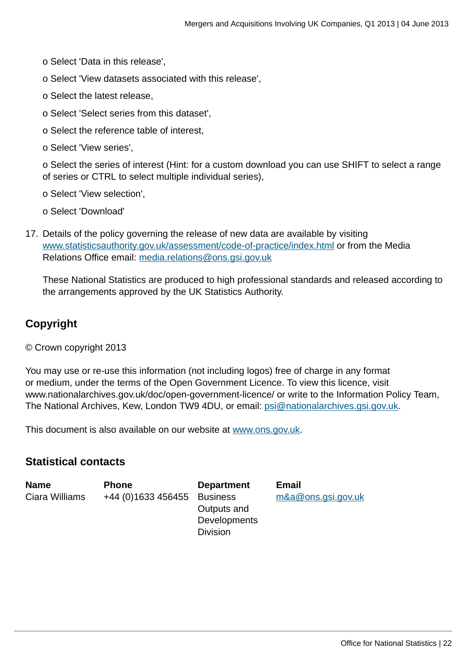- o Select 'Data in this release',
- o Select 'View datasets associated with this release',
- o Select the latest release,
- o Select 'Select series from this dataset',
- o Select the reference table of interest,
- o Select 'View series',

o Select the series of interest (Hint: for a custom download you can use SHIFT to select a range of series or CTRL to select multiple individual series),

- o Select 'View selection',
- o Select 'Download'
- 17. Details of the policy governing the release of new data are available by visiting [www.statisticsauthority.gov.uk/assessment/code-of-practice/index.html](http://www.statisticsauthority.gov.uk/assessment/code-of-practice/index.html) or from the Media Relations Office email: [media.relations@ons.gsi.gov.uk](mailto:media.relations@ons.gsi.gov.uk)

These National Statistics are produced to high professional standards and released according to the arrangements approved by the UK Statistics Authority.

## **Copyright**

© Crown copyright 2013

You may use or re-use this information (not including logos) free of charge in any format or medium, under the terms of the Open Government Licence. To view this licence, visit www.nationalarchives.gov.uk/doc/open-government-licence/ or write to the Information Policy Team, The National Archives, Kew, London TW9 4DU, or email: [psi@nationalarchives.gsi.gov.uk](mailto:psi@nationalarchives.gsi.gov.uk).

This document is also available on our website at [www.ons.gov.uk.](http://www.ons.gov.uk/)

## **Statistical contacts**

**Name Phone Department Email** Ciara Williams +44 (0)1633 456455 Business

Outputs and **Developments** Division

[m&a@ons.gsi.gov.uk](mailto:m&a@ons.gsi.gov.uk)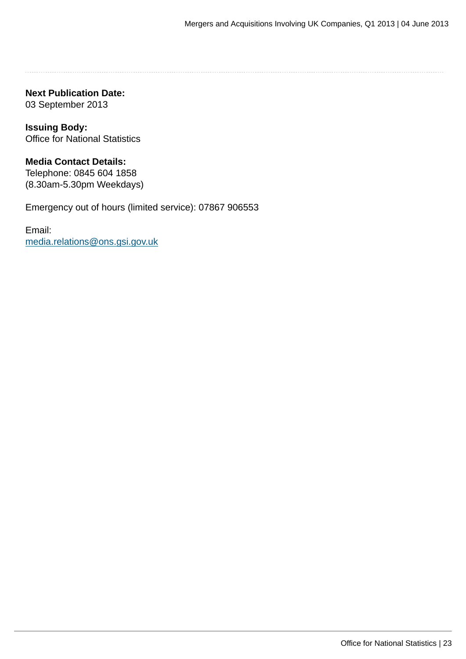**Next Publication Date:** 03 September 2013

**Issuing Body:** Office for National Statistics

## **Media Contact Details:**

Telephone: 0845 604 1858 (8.30am-5.30pm Weekdays)

Emergency out of hours (limited service): 07867 906553

Email: [media.relations@ons.gsi.gov.uk](mailto:media.relations@ons.gsi.gov.uk)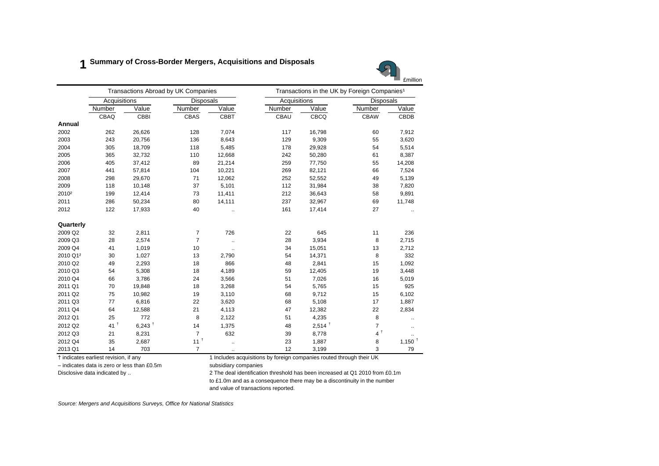## **1 Summary of Cross-Border Mergers, Acquisitions and Disposals**



|                   |                    |           | Transactions Abroad by UK Companies |                      | Transactions in the UK by Foreign Companies <sup>1</sup> |                      |                  |                      |  |
|-------------------|--------------------|-----------|-------------------------------------|----------------------|----------------------------------------------------------|----------------------|------------------|----------------------|--|
|                   | Acquisitions       |           | <b>Disposals</b>                    |                      | Acquisitions                                             |                      | <b>Disposals</b> |                      |  |
|                   | Number             | Value     | Number                              | Value                | Number                                                   | Value                | Number           | Value                |  |
|                   | CBAQ               | CBBI      | CBAS                                | CBBT                 | CBAU                                                     | CBCQ                 | <b>CBAW</b>      | CBDB                 |  |
| Annual            |                    |           |                                     |                      |                                                          |                      |                  |                      |  |
| 2002              | 262                | 26,626    | 128                                 | 7,074                | 117                                                      | 16,798               | 60               | 7,912                |  |
| 2003              | 243                | 20,756    | 136                                 | 8,643                | 129                                                      | 9,309                | 55               | 3,620                |  |
| 2004              | 305                | 18,709    | 118                                 | 5,485                | 178                                                      | 29,928               | 54               | 5,514                |  |
| 2005              | 365                | 32,732    | 110                                 | 12,668               | 242                                                      | 50,280               | 61               | 8,387                |  |
| 2006              | 405                | 37,412    | 89                                  | 21,214               | 259                                                      | 77,750               | 55               | 14,208               |  |
| 2007              | 441                | 57,814    | 104                                 | 10,221               | 269                                                      | 82,121               | 66               | 7,524                |  |
| 2008              | 298                | 29,670    | 71                                  | 12,062               | 252                                                      | 52,552               | 49               | 5,139                |  |
| 2009              | 118                | 10,148    | 37                                  | 5,101                | 112                                                      | 31,984               | 38               | 7,820                |  |
| 2010 <sup>2</sup> | 199                | 12,414    | 73                                  | 11,411               | 212                                                      | 36,643               | 58               | 9,891                |  |
| 2011              | 286                | 50,234    | 80                                  | 14,111               | 237                                                      | 32,967               | 69               | 11,748               |  |
| 2012              | 122                | 17,933    | 40                                  | $\ddotsc$            | 161                                                      | 17,414               | 27               |                      |  |
| Quarterly         |                    |           |                                     |                      |                                                          |                      |                  |                      |  |
| 2009 Q2           | 32                 | 2,811     | 7                                   | 726                  | 22                                                       | 645                  | 11               | 236                  |  |
| 2009 Q3           | 28                 | 2,574     | $\overline{7}$                      | $\ddot{\phantom{1}}$ | 28                                                       | 3,934                | 8                | 2,715                |  |
| 2009 Q4           | 41                 | 1,019     | 10                                  | $\ddot{\phantom{1}}$ | 34                                                       | 15,051               | 13               | 2,712                |  |
| 2010 Q12          | 30                 | 1,027     | 13                                  | 2,790                | 54                                                       | 14,371               | 8                | 332                  |  |
| 2010 Q2           | 49                 | 2,293     | 18                                  | 866                  | 48                                                       | 2,841                | 15               | 1,092                |  |
| 2010 Q3           | 54                 | 5,308     | 18                                  | 4,189                | 59                                                       | 12,405               | 19               | 3,448                |  |
| 2010 Q4           | 66                 | 3,786     | 24                                  | 3,566                | 51                                                       | 7,026                | 16               | 5,019                |  |
| 2011 Q1           | 70                 | 19,848    | 18                                  | 3,268                | 54                                                       | 5,765                | 15               | 925                  |  |
| 2011 Q2           | 75                 | 10,982    | 19                                  | 3,110                | 68                                                       | 9,712                | 15               | 6,102                |  |
| 2011 Q3           | 77                 | 6,816     | 22                                  | 3,620                | 68                                                       | 5,108                | 17               | 1,887                |  |
| 2011 Q4           | 64                 | 12,588    | 21                                  | 4,113                | 47                                                       | 12,382               | 22               | 2,834                |  |
| 2012 Q1           | 25                 | 772       | 8                                   | 2,122                | 51                                                       | 4,235                | 8                |                      |  |
| 2012 Q2           | $41^{\frac{1}{2}}$ | 6,243 $†$ | 14                                  | 1,375                | 48                                                       | $2,514$ <sup>+</sup> | $\overline{7}$   | $\ddotsc$            |  |
| 2012 Q3           | 21                 | 8,231     | $\overline{7}$                      | 632                  | 39                                                       | 8,778                | 4 <sup>†</sup>   |                      |  |
| 2012 Q4           | 35                 | 2,687     | 11 <sup>†</sup>                     | $\ddotsc$            | 23                                                       | 1,887                | 8                | $1,150$ <sup>t</sup> |  |
| 2013 Q1           | 14                 | 703       | $\overline{7}$                      | $\cdot$ .            | 12                                                       | 3,199                | 3                | 79                   |  |

† indicates earliest revision, if any 1 Includes acquisitions by foreign companies routed through their UK

– indicates data is zero or less than £0.5m subsidiary companies

Disclosive data indicated by .. 2 The deal identification threshold has been increased at Q1 2010 from £0.1m

to £1.0m and as a consequence there may be a discontinuity in the number

and value of transactions reported.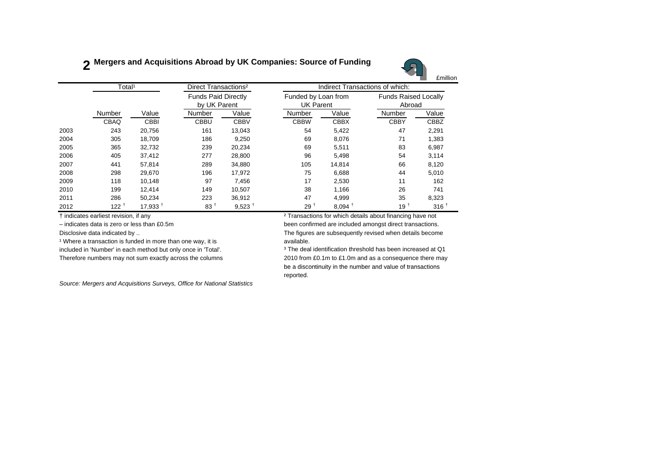## **2 Mergers and Acquisitions Abroad by UK Companies: Source of Funding**



|      | Total <sup>1</sup>  |             | Direct Transactions <sup>2</sup>           |                      | Indirect Transactions of which:         |                      |                                       |                  |  |  |
|------|---------------------|-------------|--------------------------------------------|----------------------|-----------------------------------------|----------------------|---------------------------------------|------------------|--|--|
|      |                     |             | <b>Funds Paid Directly</b><br>by UK Parent |                      | Funded by Loan from<br><b>UK Parent</b> |                      | <b>Funds Raised Locally</b><br>Abroad |                  |  |  |
|      | Number              | Value       | Number                                     | Value                | Number                                  | Value                | Number                                | Value            |  |  |
|      | CBAQ                | <b>CBBI</b> | <b>CBBU</b>                                | <b>CBBV</b>          | <b>CBBW</b>                             | <b>CBBX</b>          | <b>CBBY</b>                           | CBBZ             |  |  |
| 2003 | 243                 | 20,756      | 161                                        | 13,043               | 54                                      | 5,422                | 47                                    | 2,291            |  |  |
| 2004 | 305                 | 18,709      | 186                                        | 9,250                | 69                                      | 8,076                | 71                                    | 1,383            |  |  |
| 2005 | 365                 | 32,732      | 239                                        | 20,234               | 69                                      | 5,511                | 83                                    | 6,987            |  |  |
| 2006 | 405                 | 37,412      | 277                                        | 28,800               | 96                                      | 5.498                | 54                                    | 3,114            |  |  |
| 2007 | 441                 | 57,814      | 289                                        | 34,880               | 105                                     | 14,814               | 66                                    | 8,120            |  |  |
| 2008 | 298                 | 29,670      | 196                                        | 17,972               | 75                                      | 6,688                | 44                                    | 5,010            |  |  |
| 2009 | 118                 | 10.148      | 97                                         | 7.456                | 17                                      | 2,530                | 11                                    | 162              |  |  |
| 2010 | 199                 | 12,414      | 149                                        | 10.507               | 38                                      | 1,166                | 26                                    | 741              |  |  |
| 2011 | 286                 | 50,234      | 223                                        | 36.912               | 47                                      | 4,999                | 35                                    | 8,323            |  |  |
| 2012 | $122^{\frac{1}{2}}$ | 17.933      | 83 <sup>1</sup>                            | $9,523$ <sup>†</sup> | 29 t                                    | $8,094$ <sup>+</sup> | $19^{\frac{1}{2}}$                    | 316 <sup>†</sup> |  |  |

<sup>1</sup> Where a transaction is funded in more than one way, it is **axillable**.

† indicates earliest revision, if any ² Transactions for which details about financing have not

– indicates data is zero or less than £0.5m been confirmed are included amongst direct transactions. Disclosive data indicated by .. The figures are subsequently revised when details become

included in 'Number' in each method but only once in 'Total'. <sup>3</sup> The deal identification threshold has been increased at Q1 Therefore numbers may not sum exactly across the columns 2010 from £0.1m to £1.0m and as a consequence there may be <sup>a</sup> discontinuity in the number and value of transactions reported.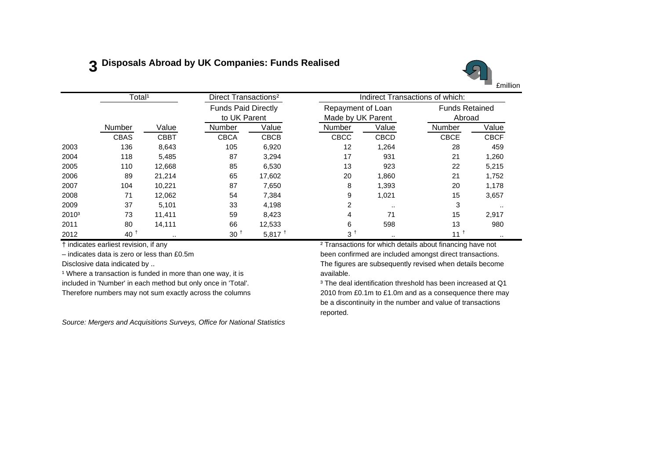## **3 Disposals Abroad by UK Companies: Funds Realised**



|                   | Total <sup>1</sup> |             | Direct Transactions <sup>2</sup> |                      |                   | Indirect Transactions of which: |                       |             |  |  |
|-------------------|--------------------|-------------|----------------------------------|----------------------|-------------------|---------------------------------|-----------------------|-------------|--|--|
|                   |                    |             | <b>Funds Paid Directly</b>       |                      | Repayment of Loan |                                 | <b>Funds Retained</b> |             |  |  |
|                   |                    |             |                                  | to UK Parent         | Made by UK Parent |                                 | Abroad                |             |  |  |
|                   | Number             | Value       | Number                           | Value                | Number            | Value                           | Number                | Value       |  |  |
|                   | <b>CBAS</b>        | <b>CBBT</b> | <b>CBCA</b>                      | <b>CBCB</b>          | CBCC              | <b>CBCD</b>                     | <b>CBCE</b>           | <b>CBCF</b> |  |  |
| 2003              | 136                | 8,643       | 105                              | 6,920                | 12                | 1,264                           | 28                    | 459         |  |  |
| 2004              | 118                | 5,485       | 87                               | 3,294                | 17                | 931                             | 21                    | 1,260       |  |  |
| 2005              | 110                | 12,668      | 85                               | 6,530                | 13                | 923                             | 22                    | 5,215       |  |  |
| 2006              | 89                 | 21,214      | 65                               | 17,602               | 20                | 1,860                           | 21                    | 1,752       |  |  |
| 2007              | 104                | 10,221      | 87                               | 7.650                | 8                 | 1,393                           | 20                    | 1,178       |  |  |
| 2008              | 71                 | 12,062      | 54                               | 7,384                | 9                 | 1,021                           | 15                    | 3,657       |  |  |
| 2009              | 37                 | 5,101       | 33                               | 4,198                | 2                 | $\cdot$ .                       | 3                     | $\cdots$    |  |  |
| 2010 <sup>3</sup> | 73                 | 11.411      | 59                               | 8.423                | 4                 | 71                              | 15                    | 2,917       |  |  |
| 2011              | 80                 | 14,111      | 66                               | 12,533               | 6                 | 598                             | 13                    | 980         |  |  |
| 2012              | 40 <sup>†</sup>    | $\sim$      | 30 <sup>1</sup>                  | $5,817$ <sup>+</sup> | 3†                | $\sim$                          | $11^{\frac{1}{3}}$    | $\cdots$    |  |  |

Disclosive data indicated by ..

<sup>1</sup> Where a transaction is funded in more than one way, it is **available**. included in 'Number' in each method but only once in 'Total'. <sup>3</sup> The deal identification threshold has been increased at Q1

*Source: Mergers and Acquisitions Surveys, Office for National Statistics*

† indicates earliest revision, if any ² Transactions for which details about financing have not – indicates data is zero or less than £0.5m been confirmed are included amongst direct transactions. Disclosive data indicated by .. The figures are subsequently revised when details become

Therefore numbers may not sum exactly across the columns 2010 from £0.1m to £1.0m and as a consequence there may be a discontinuity in the number and value of transactions reported.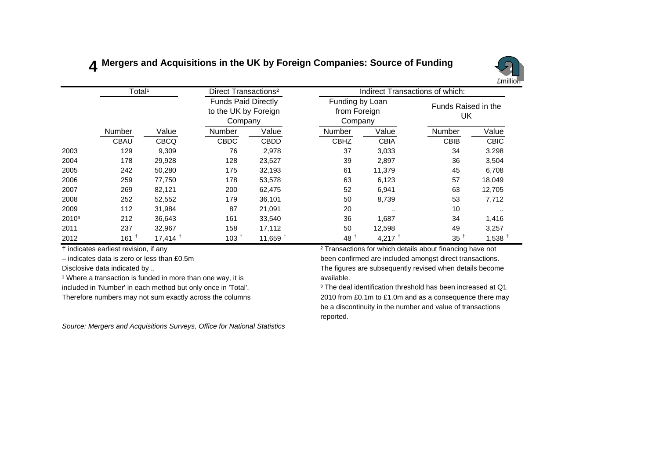## **4 Mergers and Acquisitions in the UK by Foreign Companies: Source of Funding**



|                   | Total <sup>1</sup> |                       | Direct Transactions <sup>2</sup>                              |             |                                            | Indirect Transactions of which: |                           |                      |
|-------------------|--------------------|-----------------------|---------------------------------------------------------------|-------------|--------------------------------------------|---------------------------------|---------------------------|----------------------|
|                   |                    |                       | <b>Funds Paid Directly</b><br>to the UK by Foreign<br>Company |             | Funding by Loan<br>from Foreign<br>Company |                                 | Funds Raised in the<br>UK |                      |
|                   | Number             | Value                 | <b>Number</b>                                                 | Value       | Number                                     | Value                           | Number                    | Value                |
|                   | <b>CBAU</b>        | <b>CBCQ</b>           | <b>CBDC</b>                                                   | <b>CBDD</b> | <b>CBHZ</b>                                | <b>CBIA</b>                     | <b>CBIB</b>               | <b>CBIC</b>          |
| 2003              | 129                | 9,309                 | 76                                                            | 2,978       | 37                                         | 3,033                           | 34                        | 3,298                |
| 2004              | 178                | 29,928                | 128                                                           | 23,527      | 39                                         | 2,897                           | 36                        | 3,504                |
| 2005              | 242                | 50,280                | 175                                                           | 32,193      | 61                                         | 11,379                          | 45                        | 6,708                |
| 2006              | 259                | 77,750                | 178                                                           | 53,578      | 63                                         | 6,123                           | 57                        | 18,049               |
| 2007              | 269                | 82,121                | 200                                                           | 62,475      | 52                                         | 6,941                           | 63                        | 12,705               |
| 2008              | 252                | 52,552                | 179                                                           | 36,101      | 50                                         | 8,739                           | 53                        | 7,712                |
| 2009              | 112                | 31,984                | 87                                                            | 21,091      | 20                                         | $\cdot$ .                       | 10                        |                      |
| 2010 <sup>3</sup> | 212                | 36,643                | 161                                                           | 33,540      | 36                                         | 1,687                           | 34                        | 1,416                |
| 2011              | 237                | 32,967                | 158                                                           | 17,112      | 50                                         | 12,598                          | 49                        | 3,257                |
| 2012              | $161$ <sup>t</sup> | $17,414$ <sup>+</sup> | 103 <sup>†</sup>                                              | 11,659 $†$  | $48^{\frac{1}{2}}$                         | 4,217 $†$                       | $35^{\frac{1}{2}}$        | $1,538$ <sup>+</sup> |

† indicates earliest revision, if any ² Transactions for which details about financing have not

– indicates data is zero or less than £0.5m been confirmed are included amongst direct transactions.

Disclosive data indicated by ..

<sup>1</sup> Where a transaction is funded in more than one way, it is **a** vailable.

The figures are subsequently revised when details become

included in 'Number' in each method but only once in 'Total'. <sup>3</sup> The deal identification threshold has been increased at Q1 Therefore numbers may not sum exactly across the columns 2010 from £0.1m to £1.0m and as a consequence there may be a discontinuity in the number and value of transactions reported.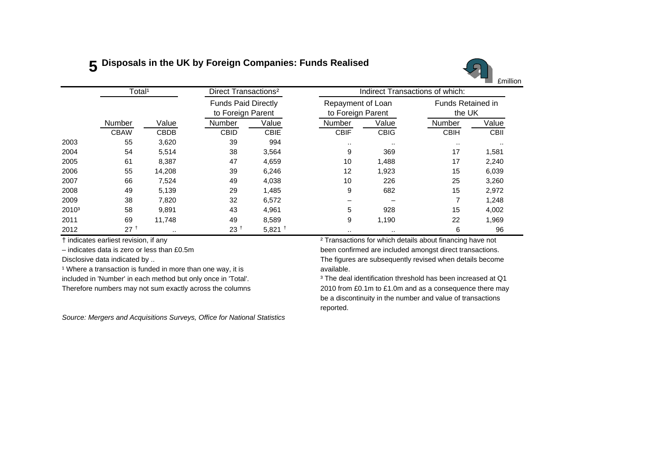## **5 Disposals in the UK by Foreign Companies: Funds Realised**



|                   | Total <sup>1</sup> |             | Direct Transactions <sup>2</sup> |                                                 | <b>Indirect Transactions of which:</b> |                                        |                                    |             |  |  |
|-------------------|--------------------|-------------|----------------------------------|-------------------------------------------------|----------------------------------------|----------------------------------------|------------------------------------|-------------|--|--|
|                   |                    |             |                                  | <b>Funds Paid Directly</b><br>to Foreign Parent |                                        | Repayment of Loan<br>to Foreign Parent | <b>Funds Retained in</b><br>the UK |             |  |  |
|                   | Number             | Value       | <b>Number</b>                    | Value                                           | Number                                 | Value                                  | Number                             | Value       |  |  |
|                   | <b>CBAW</b>        | <b>CBDB</b> | <b>CBID</b>                      | <b>CBIE</b>                                     | <b>CBIF</b>                            | <b>CBIG</b>                            | <b>CBIH</b>                        | <b>CBII</b> |  |  |
| 2003              | 55                 | 3,620       | 39                               | 994                                             | $\sim$                                 | $\cdots$                               |                                    | $\cdots$    |  |  |
| 2004              | 54                 | 5,514       | 38                               | 3,564                                           | 9                                      | 369                                    | 17                                 | 1,581       |  |  |
| 2005              | 61                 | 8,387       | 47                               | 4,659                                           | 10                                     | 1,488                                  | 17                                 | 2,240       |  |  |
| 2006              | 55                 | 14,208      | 39                               | 6,246                                           | 12                                     | 1,923                                  | 15                                 | 6,039       |  |  |
| 2007              | 66                 | 7,524       | 49                               | 4,038                                           | 10                                     | 226                                    | 25                                 | 3,260       |  |  |
| 2008              | 49                 | 5,139       | 29                               | 1,485                                           | 9                                      | 682                                    | 15                                 | 2,972       |  |  |
| 2009              | 38                 | 7,820       | 32                               | 6,572                                           |                                        |                                        |                                    | 1,248       |  |  |
| 2010 <sup>3</sup> | 58                 | 9,891       | 43                               | 4,961                                           | 5                                      | 928                                    | 15                                 | 4,002       |  |  |
| 2011              | 69                 | 11,748      | 49                               | 8,589                                           | 9                                      | 1,190                                  | 22                                 | 1,969       |  |  |
| 2012              | 27 <sup>†</sup>    | $\cdots$    | 23 <sup>2</sup>                  | $5,821$ <sup>+</sup>                            | $\cdot$ .                              |                                        | 6                                  | 96          |  |  |

 $\rm ^1$  Where a transaction is funded in more than one way, it is  $\rm ^2$  available.

*Source: Mergers and Acquisitions Surveys, Office for National Statistics*

† indicates earliest revision, if any ² Transactions for which details about financing have not – indicates data is zero or less than £0.5m been confirmed are included amongst direct transactions. Disclosive data indicated by .. The figures are subsequently revised when details become available.

included in 'Number' in each method but only once in 'Total'. <sup>3</sup> The deal identification threshold has been increased at Q1 Therefore numbers may not sum exactly across the columns 2010 from £0.1m to £1.0m and as a consequence there may be a discontinuity in the number and value of transactions reported.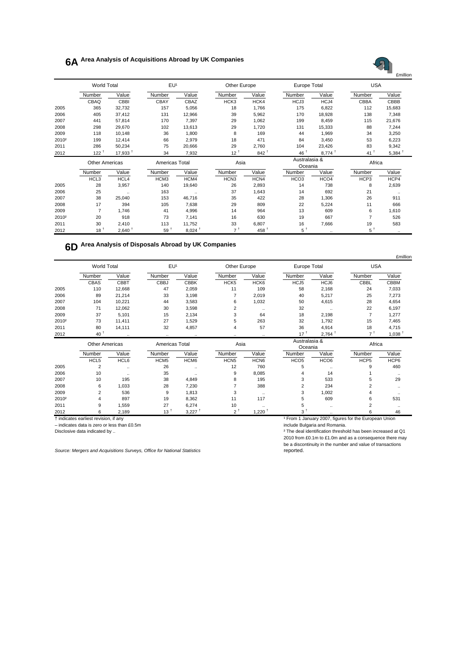## **6A Area Analysis of Acquisitions Abroad by UK Companies**



|                   | <b>World Total</b>    |                     | EU <sup>1</sup> |                      | Other Europe     |                  | <b>Europe Total</b>      |                      | <b>USA</b>        |                      |
|-------------------|-----------------------|---------------------|-----------------|----------------------|------------------|------------------|--------------------------|----------------------|-------------------|----------------------|
|                   | Number                | Value               | Number          | Value                | Number           | Value            | Number                   | Value                | Number            | Value                |
|                   | CBAQ                  | CBBI                | CBAY            | CBAZ                 | HCK3             | HCK4             | HCJ3                     | HCJ4                 | CBBA              | CBBB                 |
| 2005              | 365                   | 32,732              | 157             | 5,056                | 18               | 1,766            | 175                      | 6,822                | 112               | 15,683               |
| 2006              | 405                   | 37,412              | 131             | 12,966               | 39               | 5,962            | 170                      | 18,928               | 138               | 7,348                |
| 2007              | 441                   | 57,814              | 170             | 7,397                | 29               | 1,062            | 199                      | 8,459                | 115               | 21,676               |
| 2008              | 298                   | 29,670              | 102             | 13,613               | 29               | 1,720            | 131                      | 15,333               | 88                | 7,244                |
| 2009              | 118                   | 10,148              | 36              | 1,800                | 8                | 169              | 44                       | 1,969                | 34                | 3,250                |
| 2010 <sup>2</sup> | 199                   | 12,414              | 66              | 2,979                | 18               | 471              | 84                       | 3,450                | 53                | 6,223                |
| 2011              | 286                   | 50,234              | 75              | 20,666               | 29               | 2,760            | 104                      | 23,426               | 83                | 9,342                |
| 2012              | 122 <sup>†</sup>      | 17,933 <sup>†</sup> | 34              | 7,932                | 12 <sup>†</sup>  | $842 +$          | 46 +                     | $8,774$ <sup>+</sup> | 41 <sup>†</sup>   | $5,384$ <sup>+</sup> |
|                   | <b>Other Americas</b> |                     | Americas Total  |                      | Asia             |                  | Australasia &<br>Oceania |                      | Africa            |                      |
|                   | Number                | Value               | Number          | Value                | Number           | Value            | Number                   | Value                | Number            | Value                |
|                   | HCL3                  | HCL4                | HCM3            | HCM4                 | HCN <sub>3</sub> | HCN4             | HCO <sub>3</sub>         | HCO <sub>4</sub>     | HCP3              | HCP4                 |
| 2005              | 28                    | 3,957               | 140             | 19,640               | 26               | 2,893            | 14                       | 738                  | 8                 | 2,639                |
| 2006              | 25                    | $\ddotsc$           | 163             | $\cdot$ .            | 37               | 1,643            | 14                       | 692                  | 21                | $\ddotsc$            |
| 2007              | 38                    | 25,040              | 153             | 46,716               | 35               | 422              | 28                       | 1,306                | 26                | 911                  |
| 2008              | 17                    | 394                 | 105             | 7,638                | 29               | 809              | 22                       | 5,224                | 11                | 666                  |
| 2009              | $\overline{7}$        | 1,746               | 41              | 4,996                | 14               | 964              | 13                       | 609                  | 6                 | 1,610                |
| 2010 <sup>2</sup> | 20                    | 918                 | 73              | 7,141                | 16               | 630              | 19                       | 667                  | $\overline{7}$    | 526                  |
| 2011              | 30                    | 2,410               | 113             | 11,752               | 33               | 6,807            | 16                       | 7,666                | 19                | 583                  |
| 2012              | 18 <sup>†</sup>       | $2,640 +$           | 59 <sup>†</sup> | $8,024$ <sup>+</sup> | 7 <sup>†</sup>   | 458 <sup>†</sup> | 5 <sup>†</sup>           | $\ddot{\phantom{a}}$ | $5^{\frac{1}{2}}$ |                      |

## **6D Area Analysis of Disposals Abroad by UK Companies**

|                   |             |                       |                  |                      |                  |                      |                  |                          |                  | £million             |
|-------------------|-------------|-----------------------|------------------|----------------------|------------------|----------------------|------------------|--------------------------|------------------|----------------------|
|                   | World Total |                       | EU <sup>1</sup>  |                      | Other Europe     |                      | Europe Total     |                          | <b>USA</b>       |                      |
|                   | Number      | Value                 | Number           | Value                | Number           | Value                | Number           | Value                    | Number           | Value                |
|                   | CBAS        | CBBT                  | CBBJ             | <b>CBBK</b>          | HCK <sub>5</sub> | HCK <sub>6</sub>     | HCJ5             | HCJ6                     | CBBL             | CBBM                 |
| 2005              | 110         | 12,668                | 47               | 2,059                | 11               | 109                  | 58               | 2,168                    | 24               | 7,033                |
| 2006              | 89          | 21,214                | 33               | 3,198                |                  | 2,019                | 40               | 5,217                    | 25               | 7,273                |
| 2007              | 104         | 10,221                | 44               | 3,583                | 6                | 1,032                | 50               | 4,615                    | 28               | 4,654                |
| 2008              | 71          | 12,062                | 30               | 3,598                | $\overline{2}$   | $\ddotsc$            | 32               | $\ddotsc$                | 22               | 6,197                |
| 2009              | 37          | 5,101                 | 15               | 2,134                | 3                | 64                   | 18               | 2,198                    | $\overline{7}$   | 1,277                |
| 2010 <sup>2</sup> | 73          | 11,411                | 27               | 1,529                | 5                | 263                  | 32               | 1,792                    | 15               | 7,465                |
| 2011              | 80          | 14,111                | 32               | 4,857                | $\overline{4}$   | 57                   | 36               | 4,914                    | 18               | 4,715                |
| 2012              | $40^+$      | $\ddotsc$             | $\ddotsc$        | $\ldots$             | $\ldots$         | $\ddotsc$            | 17 <sup>†</sup>  | $2,764$ <sup>+</sup>     | 7 <sup>†</sup>   | $1,038$ <sup>+</sup> |
|                   |             | <b>Other Americas</b> |                  | Americas Total       |                  | Asia                 |                  | Australasia &<br>Oceania |                  | Africa               |
|                   | Number      | Value                 | Number           | Value                | Number           | Value                | Number           | Value                    | Number           | Value                |
|                   | HCL5        | HCL6                  | HCM <sub>5</sub> | HCM6                 | HCN <sub>5</sub> | HCN <sub>6</sub>     | HCO <sub>5</sub> | HCO <sub>6</sub>         | HCP <sub>5</sub> | HCP6                 |
| 2005              | 2           | $\cdots$              | 26               | $\cdot\cdot$         | 12               | 760                  | 5                | $\ddotsc$                | 9                | 460                  |
| 2006              | 10          | $\ddotsc$             | 35               | $\ddotsc$            | 9                | 8,085                | 4                | 14                       |                  | $\ddotsc$            |
| 2007              | 10          | 195                   | 38               | 4,849                | 8                | 195                  | 3                | 533                      | 5                | 29                   |
| 2008              | 6           | 1,033                 | 28               | 7,230                | 7                | 388                  | 2                | 234                      | 2                |                      |
| 2009              | 2           | 536                   | 9                | 1,813                | 3                | $\ddotsc$            | 3                | 1,002                    |                  | $\cdot$              |
| 2010 <sup>2</sup> | 4           | 897                   | 19               | 8,362                | 11               | 117                  | 5                | 609                      | 6                | 531                  |
| 2011              | 9           | 1,559                 | 27               | 6,274                | 10               |                      | 5                | $\ddotsc$                | 2                | $\cdot$              |
| 2012              | 6           | 2,189                 | 13 <sup>†</sup>  | $3,227$ <sup>+</sup> | 2 <sup>†</sup>   | $1,220$ <sup>1</sup> | 3 <sup>†</sup>   | $\cdot$ .                | 6                | 46                   |

† indicates earliest revision, if any ¹ From 1 January 2007, figures for the European Union

– indicates data is zero or less than £0.5m include Bulgaria and Romania.

**Source: Mergers and Acquisitions Surveys, Office for National Statistics** 

and burguing the international basis been increased at Q1 2010 from £0.1m to £1.0m and as a consequence there may be a discontinuity in the number and value of transactions<br>reported.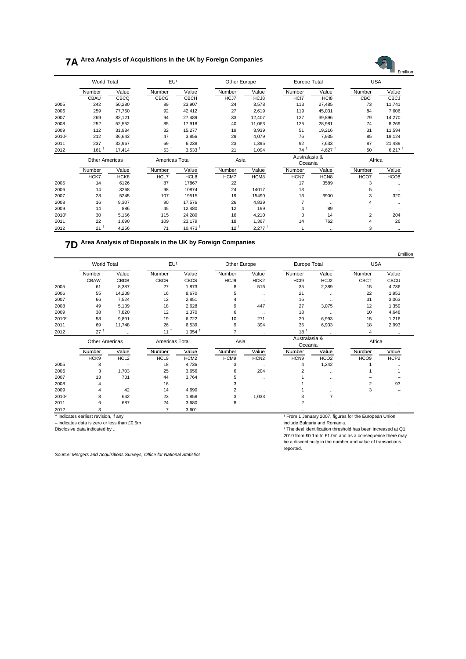## **7A Area Analysis of Acquisitions in the UK by Foreign Companies**



| <u>_</u>          |                       | $ + +$ | ັ              | v, v, v               | - -    | $1.00 +$  | $\mathbf{r}$             | $\tau, \nu$      |        | v, v             |
|-------------------|-----------------------|--------|----------------|-----------------------|--------|-----------|--------------------------|------------------|--------|------------------|
|                   | <b>Other Americas</b> |        | Americas Total |                       | Asia   |           | Australasia &<br>Oceania |                  | Africa |                  |
|                   | Number                | Value  | Number         | Value                 | Number | Value     | Number                   | Value            | Number | Value            |
|                   | HCK7                  | HCK8   | HCL7           | HCL8                  | HCM7   | HCM8      | HCN7                     | HCN <sub>8</sub> | HCO7   | HCO <sub>8</sub> |
| 2005              | 14                    | 6126   | 87             | 17867                 | 22     | $\ddotsc$ | 17                       | 3589             |        |                  |
| 2006              | 14                    | 3268   | 98             | 10874                 | 24     | 14017     | 13                       | $\cdots$         | 5      | $\cdot$          |
| 2007              | 28                    | 5245   | 107            | 19515                 | 19     | 15490     | 13                       | 6900             |        | 320              |
| 2008              | 16                    | 9,307  | 90             | 17.576                | 26     | 4,839     |                          |                  |        |                  |
| 2009              | 14                    | 886    | 45             | 12.480                | 12     | 199       | 4                        | 89               |        |                  |
| 2010 <sup>2</sup> | 30                    | 5.156  | 115            | 24.280                | 16     | 4.210     | 3                        | 14               |        | 204              |
| 2011              | 22                    | 1.690  | 109            | 23.179                | 18     | 1,367     | 14                       | 762              | 4      | 26               |
| 2012              | 21 <sup>1</sup>       | 4.256  | 71             | $10.473$ <sup>+</sup> | 12     | 2.277     |                          |                  |        |                  |

## **7D Area Analysis of Disposals in the UK by Foreign Companies**

|                   |                    |                  |                |                      |        |                      |                  |                          |                      | £millior    |  |
|-------------------|--------------------|------------------|----------------|----------------------|--------|----------------------|------------------|--------------------------|----------------------|-------------|--|
|                   | <b>World Total</b> |                  |                | EU <sup>1</sup>      |        | Other Europe         |                  | Europe Total             |                      | <b>USA</b>  |  |
|                   | Number             | Value            | Number         | Value                | Number | Value                | Number           | Value                    | Number               | Value       |  |
|                   | <b>CBAW</b>        | CBDB             | <b>CBCR</b>    | <b>CBCS</b>          | HCJ9   | HCK <sub>2</sub>     | HC <sub>19</sub> | HCJ2                     | CBCT                 | <b>CBCU</b> |  |
| 2005              | 61                 | 8,387            | 27             | 1,873                | 8      | 516                  | 35               | 2,389                    | 15                   | 4,736       |  |
| 2006              | 55                 | 14,208           | 16             | 8,670                | 5      | $\ddotsc$            | 21               | $\ddotsc$                | 22                   | 1,953       |  |
| 2007              | 66                 | 7,524            | 12             | 2,851                | 4      | $\ddotsc$            | 16               | $\ddotsc$                | 31                   | 3,063       |  |
| 2008              | 49                 | 5,139            | 18             | 2,628                | 9      | 447                  | 27               | 3,075                    | 12                   | 1,359       |  |
| 2009              | 38                 | 7,820            | 12             | 1,370                | 6      | $\ddotsc$            | 18               | $\ddotsc$                | 10                   | 4,648       |  |
| 2010 <sup>2</sup> | 58                 | 9,891            | 19             | 6,722                | 10     | 271                  | 29               | 6,993                    | 15                   | 1,216       |  |
| 2011              | 69                 | 11,748           | 26             | 6,539                | 9      | 394                  | 35               | 6,933                    | 18                   | 2,993       |  |
| 2012              | $27^+$             | $\ldots$         | $11^+$         | $1,054$ <sup>†</sup> |        | $\ddotsc$            | 18 <sup>†</sup>  | $\ddotsc$                | 4                    | $\ddotsc$   |  |
|                   | Other Americas     |                  |                | Americas Total       |        | Asia                 |                  | Australasia &<br>Oceania |                      | Africa      |  |
|                   | Number             | Value            | Number         | Value                | Number | Value                | Number           | Value                    | Number               | Value       |  |
|                   | HCK9               | HCL <sub>2</sub> | HCL9           | HCM <sub>2</sub>     | HCM9   | HCN <sub>2</sub>     | HCN9             | HCO <sub>2</sub>         | HCO <sub>9</sub>     | HCP2        |  |
| 2005              | 3                  |                  | 18             | 4,736                | 3      | $\ddotsc$            |                  | 1,242                    |                      |             |  |
| 2006              | 3                  | 1,703            | 25             | 3,656                | 6      | 204                  | 2                |                          |                      |             |  |
| 2007              | 13                 | 701              | 44             | 3,764                | 5      | $\ddotsc$            |                  |                          |                      |             |  |
| 2008              | 4                  | $\ddotsc$        | 16             | $\cdot$              | 3      | $\ddotsc$            |                  | $\ddot{\phantom{a}}$     | 2                    | 93          |  |
| 2009              | 4                  | 42               | 14             | 4,690                | 2      |                      |                  |                          | 3                    |             |  |
| 2010 <sup>2</sup> | 8                  | 642              | 23             | 1,858                | 3      | 1,033                | 3                | 7                        |                      |             |  |
| 2011              | 6                  | 687              | 24             | 3,680                | 8      | $\ddotsc$            | 2                |                          |                      |             |  |
| 2012              | 3                  | $\ddotsc$        | $\overline{7}$ | 3,601                |        | $\ddot{\phantom{0}}$ |                  |                          | $\ddot{\phantom{a}}$ |             |  |

 $-$  indicates data is zero or less than £0.5m

† indicates earliest revision, if any and the state of the European Union indicates earliest revision, if any  $\frac{1}{2}$  From 1 January 2007, figures for the European Union include Bulgaria and Romania.

Disclosive data indicated by .. **The deal identification threshold has been increased at Q1** and the structure of the deal identification threshold has been increased at Q1 2010 from £0.1m to £1.0m and as a consequence there may be a discontinuity in the number and value of transactions reported.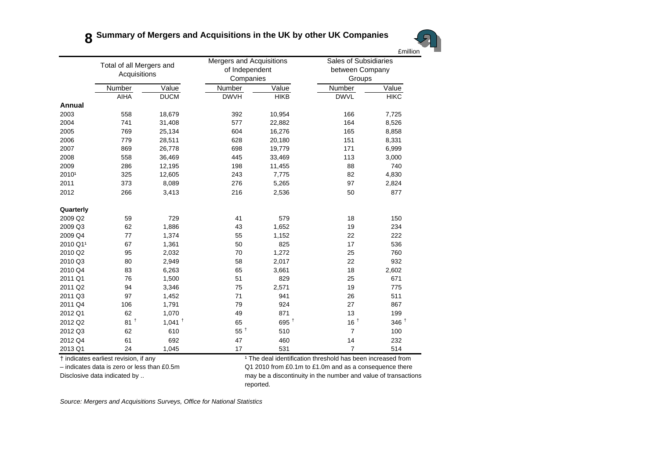

Number Value Number Value Number ValueValue AIHA DUCM DWVH HIKB DWVL HIKC**HIKC Annual**2003 558 18,679 392 10,954 166 7,725 2004 741 31,408 577 22,882 164 8,526 2005 769 25,134 604 16,276 165 8,858 2006 779 28,511 628 20,180 151 8,331 2007 869 26,778 698 19,779 171 6,999 2008 558 36,469 445 33,469 113 3,000 2009 286 12,195 198 11,455 88 740 2010¹ 325 12,605 243 7,775 82 4,830 2011 373 8,089 276 5,265 97 2,824 2012 266 3,413 216 2,536 50 877 **Quarterly** 2009 Q2 59 729 41 579 18 150150 2009 Q3 62 1,886 43 1,652 19 234 2009 Q4 77 1,374 55 1,152 22 222 £million Total of all Mergers and **Acquisitions** Mergers and Acquisitions of Independent Companies Sales of Subsidiaries between Company Groups 2010 Q1<sup>1</sup> 67 1,361 50 825 17 536 2010 Q2 95 2,032 70 1,272 25 760 2010 Q3 80 2,949 58 2,017 22 932 2010 Q4 83 6,263 65 3,661 18 2,602 2011 Q1 76 1,500 51 829 25 671 2011 Q2 94 3,346 75 2,571 19 775 2011 Q3 97 1,452 71 941 26 511 2011 Q4 106 1,791 79 924 27 867 2012 Q1 62 1,070 49 871 13 199 2012 Q2 81<sup>+</sup>  $\begin{array}{ccc} 1^{\text{+}} & 1.041^{\text{+}} & 65 & 695^{\text{+}} & 16^{\text{+}} & 346^{\text{+}} \end{array}$ 2012 Q3 62 610 55<sup>+</sup>  $5^{\texttt{+}}$  510 7 100 2012 Q4 61 692 47 460 14 232232 2013 Q1 24 1,045 17 531 7 514 † indicates earliest revision, if any and the state of the deal identification threshold has been increased from

– indicates data is zero or less than £0.5m Q1 2010 from £0.1m to £1.0m and as a consequence there Disclosive data indicated by .. https://www.may be a discontinuity in the number and value of transactions reported.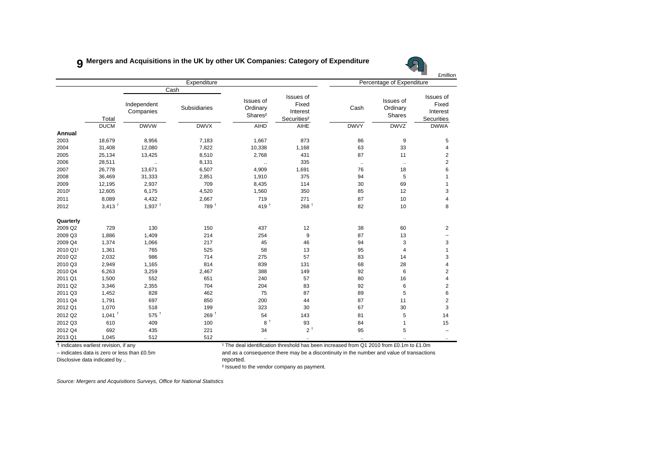### **9 Mergers and Acquisitions in the UK by other UK Companies: Category of Expenditure**



|           |                      |                          |                             |                                              |                                                           |              |                                 | <b>£million</b>                              |
|-----------|----------------------|--------------------------|-----------------------------|----------------------------------------------|-----------------------------------------------------------|--------------|---------------------------------|----------------------------------------------|
|           |                      |                          | Expenditure                 |                                              |                                                           |              | Percentage of Expenditure       |                                              |
|           | Total                | Independent<br>Companies | Cash<br><b>Subsidiaries</b> | Issues of<br>Ordinary<br>Shares <sup>2</sup> | Issues of<br>Fixed<br>Interest<br>Securities <sup>2</sup> | Cash         | Issues of<br>Ordinary<br>Shares | Issues of<br>Fixed<br>Interest<br>Securities |
|           | <b>DUCM</b>          | <b>DWVW</b>              | <b>DWVX</b>                 | <b>AIHD</b>                                  | AIHE                                                      | <b>DWVY</b>  | <b>DWVZ</b>                     | <b>DWWA</b>                                  |
| Annual    |                      |                          |                             |                                              |                                                           |              |                                 |                                              |
| 2003      | 18,679               | 8,956                    | 7,183                       | 1,667                                        | 873                                                       | 86           | 9                               | 5                                            |
| 2004      | 31,408               | 12,080                   | 7,822                       | 10,338                                       | 1,168                                                     | 63           | 33                              | 4                                            |
| 2005      | 25,134               | 13,425                   | 8,510                       | 2,768                                        | 431                                                       | 87           | 11                              | $\overline{c}$                               |
| 2006      | 28,511               | $\ddotsc$                | 8,131                       | $\cdot$ .                                    | 335                                                       | $\cdot\cdot$ | $\ddotsc$                       | $\mathbf 2$                                  |
| 2007      | 26,778               | 13,671                   | 6,507                       | 4,909                                        | 1,691                                                     | 76           | 18                              | 6                                            |
| 2008      | 36,469               | 31,333                   | 2,851                       | 1,910                                        | 375                                                       | 94           | 5                               | 1                                            |
| 2009      | 12,195               | 2,937                    | 709                         | 8,435                                        | 114                                                       | 30           | 69                              | 1                                            |
| 20101     | 12,605               | 6,175                    | 4,520                       | 1,560                                        | 350                                                       | 85           | 12                              | 3                                            |
| 2011      | 8,089                | 4,432                    | 2,667                       | 719                                          | 271                                                       | 87           | 10                              | 4                                            |
| 2012      | $3,413$ <sup>+</sup> | $1,937$ <sup>+</sup>     | 789 +                       | 419 $†$                                      | 268 <sup>†</sup>                                          | 82           | 10                              | 8                                            |
| Quarterly |                      |                          |                             |                                              |                                                           |              |                                 |                                              |
| 2009 Q2   | 729                  | 130                      | 150                         | 437                                          | 12                                                        | 38           | 60                              | $\overline{2}$                               |
| 2009 Q3   | 1,886                | 1,409                    | 214                         | 254                                          | 9                                                         | 87           | 13                              |                                              |
| 2009 Q4   | 1,374                | 1,066                    | 217                         | 45                                           | 46                                                        | 94           | 3                               | 3                                            |
| 2010 Q11  | 1,361                | 765                      | 525                         | 58                                           | 13                                                        | 95           | 4                               | $\mathbf{1}$                                 |
| 2010 Q2   | 2,032                | 986                      | 714                         | 275                                          | 57                                                        | 83           | 14                              | 3                                            |
| 2010 Q3   | 2,949                | 1,165                    | 814                         | 839                                          | 131                                                       | 68           | 28                              | $\overline{\mathbf{4}}$                      |
| 2010 Q4   | 6,263                | 3,259                    | 2,467                       | 388                                          | 149                                                       | 92           | 6                               | $\mathbf 2$                                  |
| 2011 Q1   | 1,500                | 552                      | 651                         | 240                                          | 57                                                        | 80           | 16                              | 4                                            |
| 2011 Q2   | 3,346                | 2,355                    | 704                         | 204                                          | 83                                                        | 92           | $\,6\,$                         | $\mathbf 2$                                  |
| 2011 Q3   | 1,452                | 828                      | 462                         | 75                                           | 87                                                        | 89           | 5                               | 6                                            |
| 2011 Q4   | 1,791                | 697                      | 850                         | 200                                          | 44                                                        | 87           | 11                              | $\overline{2}$                               |
| 2012 Q1   | 1,070                | 518                      | 199                         | 323                                          | 30                                                        | 67           | 30                              | 3                                            |
| 2012 Q2   | $1,041$ <sup>+</sup> | $575$ <sup>+</sup>       | 269 +                       | 54                                           | 143                                                       | 81           | 5                               | 14                                           |
| 2012 Q3   | 610                  | 409                      | 100                         | 8 <sup>†</sup>                               | 93                                                        | 84           | $\mathbf{1}$                    | 15                                           |
| 2012 Q4   | 692                  | 435                      | 221                         | 34                                           | 2 <sup>†</sup>                                            | 95           | 5                               |                                              |
| 2013 Q1   | 1,045                | 512                      | 512                         | $\ldots$                                     | $\ldots$                                                  | $\ldots$     | $\ldots$                        |                                              |

† indicates earliest revision, if any ¹ The deal identification threshold has been increased from Q1 2010 from £0.1m to £1.0m

Disclosive data indicated by .. The control of the control of the proof reported.

– indicates data is zero or less than £0.5m and as a consequence there may be a discontinuity in the number and value of transactions

² Issued to the vendor company as payment.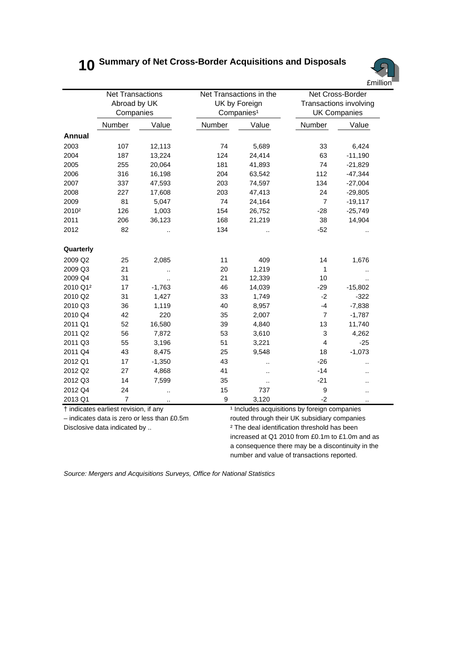## **10 Summary of Net Cross-Border Acquisitions and Disposals**



|                      | <b>Net Transactions</b><br>Abroad by UK<br>Companies |                      | Net Transactions in the | UK by Foreign<br>Companies <sup>1</sup> | Net Cross-Border<br>Transactions involving<br><b>UK Companies</b> |                      |  |
|----------------------|------------------------------------------------------|----------------------|-------------------------|-----------------------------------------|-------------------------------------------------------------------|----------------------|--|
|                      | Number                                               | Value                | Number                  | Value                                   | Number                                                            | Value                |  |
| Annual               |                                                      |                      |                         |                                         |                                                                   |                      |  |
| 2003                 | 107                                                  | 12,113               | 74                      | 5,689                                   | 33                                                                | 6,424                |  |
| 2004                 | 187                                                  | 13,224               | 124                     | 24,414                                  | 63                                                                | $-11,190$            |  |
| 2005                 | 255                                                  | 20,064               | 181                     | 41,893                                  | 74                                                                | $-21,829$            |  |
| 2006                 | 316                                                  | 16,198               | 204                     | 63,542                                  | 112                                                               | $-47,344$            |  |
| 2007                 | 337                                                  | 47,593               | 203                     | 74,597                                  | 134                                                               | $-27,004$            |  |
| 2008                 | 227                                                  | 17,608               | 203                     | 47,413                                  | 24                                                                | $-29,805$            |  |
| 2009                 | 81                                                   | 5,047                | 74                      | 24,164                                  | $\overline{7}$                                                    | $-19,117$            |  |
| 2010 <sup>2</sup>    | 126                                                  | 1,003                | 154                     | 26,752                                  | $-28$                                                             | $-25,749$            |  |
| 2011                 | 206                                                  | 36,123               | 168                     | 21,219                                  | 38                                                                | 14,904               |  |
| 2012                 | 82                                                   |                      | 134                     |                                         | $-52$                                                             |                      |  |
| Quarterly            |                                                      |                      |                         |                                         |                                                                   |                      |  |
| 2009 Q2              | 25                                                   | 2,085                | 11                      | 409                                     | 14                                                                | 1,676                |  |
| 2009 Q3              | 21                                                   |                      | 20                      | 1,219                                   | 1                                                                 |                      |  |
| 2009 Q4              | 31                                                   | $\ddot{\phantom{a}}$ | 21                      | 12,339                                  | 10                                                                |                      |  |
| 2010 Q1 <sup>2</sup> | 17                                                   | $-1,763$             | 46                      | 14,039                                  | $-29$                                                             | $-15,802$            |  |
| 2010 Q2              | 31                                                   | 1,427                | 33                      | 1,749                                   | $-2$                                                              | $-322$               |  |
| 2010 Q3              | 36                                                   | 1,119                | 40                      | 8,957                                   | $-4$                                                              | $-7,838$             |  |
| 2010 Q4              | 42                                                   | 220                  | 35                      | 2,007                                   | $\overline{7}$                                                    | $-1,787$             |  |
| 2011 Q1              | 52                                                   | 16,580               | 39                      | 4,840                                   | 13                                                                | 11,740               |  |
| 2011 Q2              | 56                                                   | 7,872                | 53                      | 3,610                                   | 3                                                                 | 4,262                |  |
| 2011 Q3              | 55                                                   | 3,196                | 51                      | 3,221                                   | $\overline{4}$                                                    | $-25$                |  |
| 2011 Q4              | 43                                                   | 8,475                | 25                      | 9,548                                   | 18                                                                | $-1,073$             |  |
| 2012 Q1              | 17                                                   | $-1,350$             | 43                      |                                         | $-26$                                                             | $\ddot{\phantom{a}}$ |  |
| 2012 Q2              | 27                                                   | 4,868                | 41                      | $\ddot{\phantom{a}}$                    | $-14$                                                             |                      |  |
| 2012 Q3              | 14                                                   | 7,599                | 35                      |                                         | $-21$                                                             | ٠.                   |  |
| 2012 Q4              | 24                                                   |                      | 15                      | 737                                     | 9                                                                 |                      |  |
| 2013 Q1              | $\overline{7}$                                       |                      | 9                       | 3,120                                   | $-2$                                                              | $\ddot{\phantom{a}}$ |  |

† indicates earliest revision, if any ¹ Includes acquisitions by foreign companies

– indicates data is zero or less than £0.5m routed through their UK subsidiary companies Disclosive data indicated by ..  $\qquad \qquad \qquad$   $\qquad \qquad$  The deal identification threshold has been increased at Q1 2010 from £0.1m to £1.0m and as a consequence there may be a discontinuity in the number and value of transactions reported.